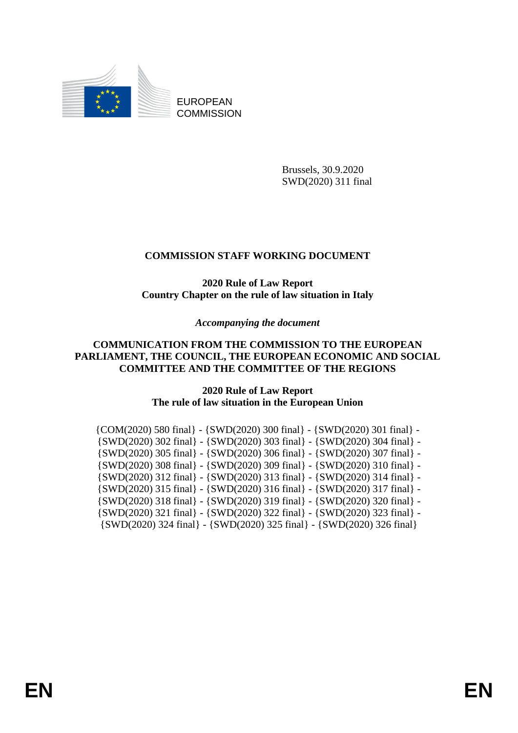

EUROPEAN **COMMISSION** 

> Brussels, 30.9.2020 SWD(2020) 311 final

# **COMMISSION STAFF WORKING DOCUMENT**

## **2020 Rule of Law Report Country Chapter on the rule of law situation in Italy**

*Accompanying the document*

## **COMMUNICATION FROM THE COMMISSION TO THE EUROPEAN PARLIAMENT, THE COUNCIL, THE EUROPEAN ECONOMIC AND SOCIAL COMMITTEE AND THE COMMITTEE OF THE REGIONS**

## **2020 Rule of Law Report The rule of law situation in the European Union**

| $\{COM(2020) 580 \text{ final}\} - \{SWD(2020) 300 \text{ final}\} - \{SWD(2020) 301 \text{ final}\} - \{SWD(2020) 301 \text{ final}\}$ |
|-----------------------------------------------------------------------------------------------------------------------------------------|
| $\{SWD(2020)$ 302 final} - $\{SWD(2020)$ 303 final} - $\{SWD(2020)$ 304 final} -                                                        |
| $\{SWD(2020)$ 305 final} - $\{SWD(2020)$ 306 final} - $\{SWD(2020)$ 307 final} -                                                        |
| {SWD(2020) 308 final} - {SWD(2020) 309 final} - {SWD(2020) 310 final} -                                                                 |
| $\{SWD(2020)$ 312 final} - $\{SWD(2020)$ 313 final} - $\{SWD(2020)$ 314 final} -                                                        |
| $\{SWD(2020)$ 315 final} - $\{SWD(2020)$ 316 final} - $\{SWD(2020)$ 317 final} -                                                        |
| $\{SWD(2020)$ 318 final} - $\{SWD(2020)$ 319 final} - $\{SWD(2020)$ 320 final} -                                                        |
| $\{SWD(2020)$ 321 final} - $\{SWD(2020)$ 322 final} - $\{SWD(2020)$ 323 final} -                                                        |
| {SWD(2020) 324 final} - {SWD(2020) 325 final} - {SWD(2020) 326 final}                                                                   |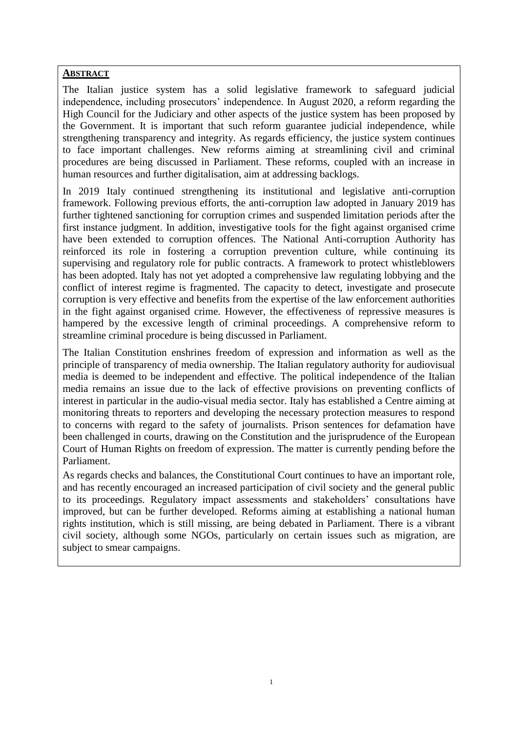#### **ABSTRACT**

The Italian justice system has a solid legislative framework to safeguard judicial independence, including prosecutors' independence. In August 2020, a reform regarding the High Council for the Judiciary and other aspects of the justice system has been proposed by the Government. It is important that such reform guarantee judicial independence, while strengthening transparency and integrity. As regards efficiency, the justice system continues to face important challenges. New reforms aiming at streamlining civil and criminal procedures are being discussed in Parliament. These reforms, coupled with an increase in human resources and further digitalisation, aim at addressing backlogs.

In 2019 Italy continued strengthening its institutional and legislative anti-corruption framework. Following previous efforts, the anti-corruption law adopted in January 2019 has further tightened sanctioning for corruption crimes and suspended limitation periods after the first instance judgment. In addition, investigative tools for the fight against organised crime have been extended to corruption offences. The National Anti-corruption Authority has reinforced its role in fostering a corruption prevention culture, while continuing its supervising and regulatory role for public contracts. A framework to protect whistleblowers has been adopted. Italy has not yet adopted a comprehensive law regulating lobbying and the conflict of interest regime is fragmented. The capacity to detect, investigate and prosecute corruption is very effective and benefits from the expertise of the law enforcement authorities in the fight against organised crime. However, the effectiveness of repressive measures is hampered by the excessive length of criminal proceedings. A comprehensive reform to streamline criminal procedure is being discussed in Parliament.

The Italian Constitution enshrines freedom of expression and information as well as the principle of transparency of media ownership. The Italian regulatory authority for audiovisual media is deemed to be independent and effective. The political independence of the Italian media remains an issue due to the lack of effective provisions on preventing conflicts of interest in particular in the audio-visual media sector. Italy has established a Centre aiming at monitoring threats to reporters and developing the necessary protection measures to respond to concerns with regard to the safety of journalists. Prison sentences for defamation have been challenged in courts, drawing on the Constitution and the jurisprudence of the European Court of Human Rights on freedom of expression. The matter is currently pending before the Parliament.

As regards checks and balances, the Constitutional Court continues to have an important role, and has recently encouraged an increased participation of civil society and the general public to its proceedings. Regulatory impact assessments and stakeholders' consultations have improved, but can be further developed. Reforms aiming at establishing a national human rights institution, which is still missing, are being debated in Parliament. There is a vibrant civil society, although some NGOs, particularly on certain issues such as migration, are subject to smear campaigns.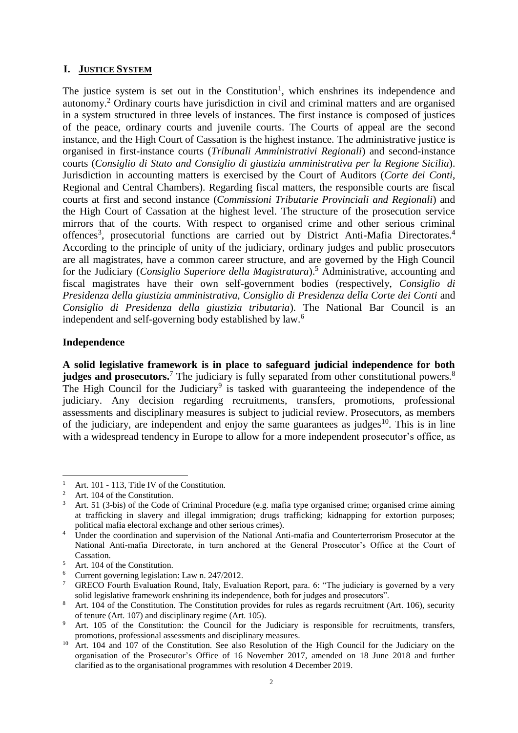## **I. JUSTICE SYSTEM**

The justice system is set out in the Constitution<sup>1</sup>, which enshrines its independence and autonomy.<sup>2</sup> Ordinary courts have jurisdiction in civil and criminal matters and are organised in a system structured in three levels of instances. The first instance is composed of justices of the peace, ordinary courts and juvenile courts. The Courts of appeal are the second instance, and the High Court of Cassation is the highest instance. The administrative justice is organised in first-instance courts (*Tribunali Amministrativi Regionali*) and second-instance courts (*Consiglio di Stato and Consiglio di giustizia amministrativa per la Regione Sicilia*). Jurisdiction in accounting matters is exercised by the Court of Auditors (*Corte dei Conti*, Regional and Central Chambers). Regarding fiscal matters, the responsible courts are fiscal courts at first and second instance (*Commissioni Tributarie Provinciali and Regionali*) and the High Court of Cassation at the highest level. The structure of the prosecution service mirrors that of the courts. With respect to organised crime and other serious criminal offences<sup>3</sup>, prosecutorial functions are carried out by District Anti-Mafia Directorates.<sup>4</sup> According to the principle of unity of the judiciary, ordinary judges and public prosecutors are all magistrates, have a common career structure, and are governed by the High Council for the Judiciary (*Consiglio Superiore della Magistratura*).<sup>5</sup> Administrative, accounting and fiscal magistrates have their own self-government bodies (respectively, *Consiglio di Presidenza della giustizia amministrativa, Consiglio di Presidenza della Corte dei Conti* and *Consiglio di Presidenza della giustizia tributaria*). The National Bar Council is an independent and self-governing body established by law.<sup>6</sup>

#### **Independence**

1

**A solid legislative framework is in place to safeguard judicial independence for both judges and prosecutors.**<sup>7</sup> The judiciary is fully separated from other constitutional powers.<sup>8</sup> The High Council for the Judiciary<sup>9</sup> is tasked with guaranteeing the independence of the judiciary. Any decision regarding recruitments, transfers, promotions, professional assessments and disciplinary measures is subject to judicial review. Prosecutors, as members of the judiciary, are independent and enjoy the same guarantees as judges<sup>10</sup>. This is in line with a widespread tendency in Europe to allow for a more independent prosecutor's office, as

<sup>5</sup> Art. 104 of the Constitution.

<sup>&</sup>lt;sup>1</sup> Art. 101 - 113, Title IV of the Constitution.

<sup>&</sup>lt;sup>2</sup> Art. 104 of the Constitution.

<sup>3</sup> Art. 51 (3-bis) of the Code of Criminal Procedure (e.g. mafia type organised crime; organised crime aiming at trafficking in slavery and illegal immigration; drugs trafficking; kidnapping for extortion purposes; political mafia electoral exchange and other serious crimes).

<sup>&</sup>lt;sup>4</sup> Under the coordination and supervision of the National Anti-mafia and Counterterrorism Prosecutor at the National Anti-mafia Directorate, in turn anchored at the General Prosecutor's Office at the Court of Cassation.

<sup>&</sup>lt;sup>6</sup> Current governing legislation: Law n.  $247/2012$ .<br><sup>7</sup> GRECO Fourth Evaluation Round, Italy, Evaluation

GRECO Fourth Evaluation Round, Italy, Evaluation Report, para. 6: "The judiciary is governed by a very solid legislative framework enshrining its independence, both for judges and prosecutors".

<sup>&</sup>lt;sup>8</sup> Art. 104 of the Constitution. The Constitution provides for rules as regards recruitment (Art. 106), security of tenure (Art. 107) and disciplinary regime (Art. 105).

Art. 105 of the Constitution: the Council for the Judiciary is responsible for recruitments, transfers, promotions, professional assessments and disciplinary measures.

<sup>&</sup>lt;sup>10</sup> Art. 104 and 107 of the Constitution. See also Resolution of the High Council for the Judiciary on the organisation of the Prosecutor's Office of 16 November 2017, amended on 18 June 2018 and further clarified as to the organisational programmes with resolution 4 December 2019.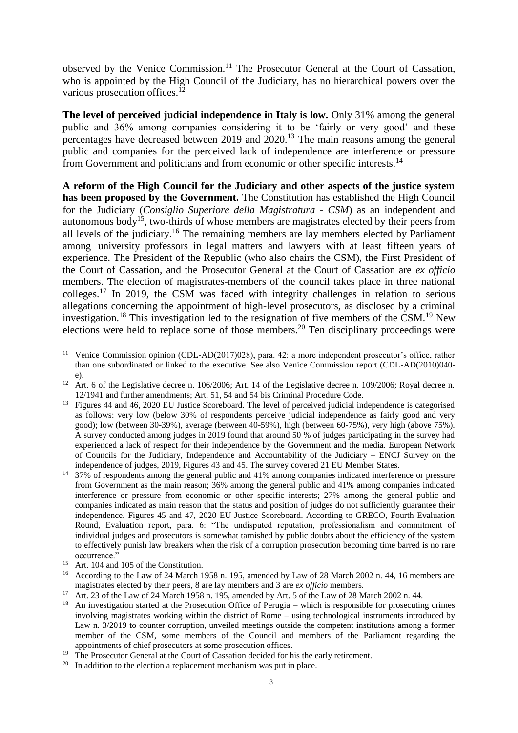observed by the Venice Commission.<sup>11</sup> The Prosecutor General at the Court of Cassation, who is appointed by the High Council of the Judiciary, has no hierarchical powers over the various prosecution offices. $12$ 

**The level of perceived judicial independence in Italy is low.** Only 31% among the general public and 36% among companies considering it to be 'fairly or very good' and these percentages have decreased between 2019 and 2020.<sup>13</sup> The main reasons among the general public and companies for the perceived lack of independence are interference or pressure from Government and politicians and from economic or other specific interests.<sup>14</sup>

**A reform of the High Council for the Judiciary and other aspects of the justice system has been proposed by the Government.** The Constitution has established the High Council for the Judiciary (*Consiglio Superiore della Magistratura - CSM*) as an independent and autonomous body<sup>15</sup>, two-thirds of whose members are magistrates elected by their peers from all levels of the judiciary.<sup>16</sup> The remaining members are lay members elected by Parliament among university professors in legal matters and lawyers with at least fifteen years of experience. The President of the Republic (who also chairs the CSM), the First President of the Court of Cassation, and the Prosecutor General at the Court of Cassation are *ex officio* members. The election of magistrates-members of the council takes place in three national colleges.<sup>17</sup> In 2019, the CSM was faced with integrity challenges in relation to serious allegations concerning the appointment of high-level prosecutors, as disclosed by a criminal investigation.<sup>18</sup> This investigation led to the resignation of five members of the CSM.<sup>19</sup> New elections were held to replace some of those members.<sup>20</sup> Ten disciplinary proceedings were

<sup>1</sup> <sup>11</sup> Venice Commission opinion (CDL-AD(2017)028), para. 42: a more independent prosecutor's office, rather than one subordinated or linked to the executive. See also Venice Commission report (CDL-AD(2010)040 e).

<sup>&</sup>lt;sup>12</sup> Art. 6 of the Legislative decree n. 106/2006; Art. 14 of the Legislative decree n. 109/2006; Royal decree n. 12/1941 and further amendments; Art. 51, 54 and 54 bis Criminal Procedure Code.

<sup>&</sup>lt;sup>13</sup> Figures 44 and 46, 2020 EU Justice Scoreboard. The level of perceived judicial independence is categorised as follows: very low (below 30% of respondents perceive judicial independence as fairly good and very good); low (between 30-39%), average (between 40-59%), high (between 60-75%), very high (above 75%). A survey conducted among judges in 2019 found that around 50 % of judges participating in the survey had experienced a lack of respect for their independence by the Government and the media. European Network of Councils for the Judiciary, Independence and Accountability of the Judiciary – ENCJ Survey on the independence of judges, 2019, Figures 43 and 45. The survey covered 21 EU Member States.

<sup>&</sup>lt;sup>14</sup> 37% of respondents among the general public and 41% among companies indicated interference or pressure from Government as the main reason; 36% among the general public and 41% among companies indicated interference or pressure from economic or other specific interests; 27% among the general public and companies indicated as main reason that the status and position of judges do not sufficiently guarantee their independence. Figures 45 and 47, 2020 EU Justice Scoreboard. According to GRECO, Fourth Evaluation Round, Evaluation report, para. 6: "The undisputed reputation, professionalism and commitment of individual judges and prosecutors is somewhat tarnished by public doubts about the efficiency of the system to effectively punish law breakers when the risk of a corruption prosecution becoming time barred is no rare occurrence."

<sup>&</sup>lt;sup>15</sup> Art. 104 and 105 of the Constitution.

<sup>&</sup>lt;sup>16</sup> According to the Law of 24 March 1958 n. 195, amended by Law of 28 March 2002 n. 44, 16 members are magistrates elected by their peers, 8 are lay members and 3 are *ex officio* members.

<sup>17</sup> Art. 23 of the Law of 24 March 1958 n. 195, amended by Art. 5 of the Law of 28 March 2002 n. 44.

<sup>&</sup>lt;sup>18</sup> An investigation started at the Prosecution Office of Perugia – which is responsible for prosecuting crimes involving magistrates working within the district of Rome – using technological instruments introduced by Law n. 3/2019 to counter corruption, unveiled meetings outside the competent institutions among a former member of the CSM, some members of the Council and members of the Parliament regarding the appointments of chief prosecutors at some prosecution offices.

<sup>&</sup>lt;sup>19</sup> The Prosecutor General at the Court of Cassation decided for his the early retirement.

<sup>&</sup>lt;sup>20</sup> In addition to the election a replacement mechanism was put in place.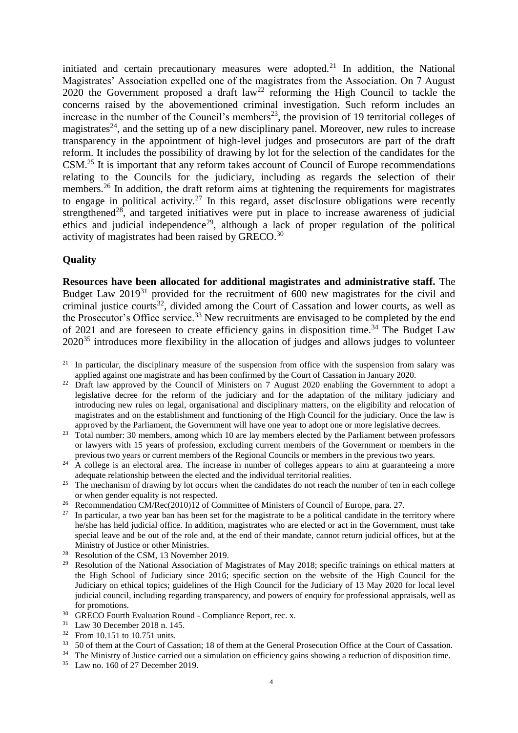initiated and certain precautionary measures were adopted.<sup>21</sup> In addition, the National Magistrates' Association expelled one of the magistrates from the Association. On 7 August 2020 the Government proposed a draft  $law^{22}$  reforming the High Council to tackle the concerns raised by the abovementioned criminal investigation. Such reform includes an increase in the number of the Council's members<sup>23</sup>, the provision of 19 territorial colleges of magistrates<sup>24</sup>, and the setting up of a new disciplinary panel. Moreover, new rules to increase transparency in the appointment of high-level judges and prosecutors are part of the draft reform. It includes the possibility of drawing by lot for the selection of the candidates for the CSM.<sup>25</sup> It is important that any reform takes account of Council of Europe recommendations relating to the Councils for the judiciary, including as regards the selection of their members.<sup>26</sup> In addition, the draft reform aims at tightening the requirements for magistrates to engage in political activity.<sup>27</sup> In this regard, asset disclosure obligations were recently strengthened<sup>28</sup>, and targeted initiatives were put in place to increase awareness of judicial ethics and judicial independence<sup>29</sup>, although a lack of proper regulation of the political activity of magistrates had been raised by GRECO.<sup>30</sup>

## **Quality**

**Resources have been allocated for additional magistrates and administrative staff.** The Budget Law 2019<sup>31</sup> provided for the recruitment of 600 new magistrates for the civil and criminal justice courts<sup>32</sup>, divided among the Court of Cassation and lower courts, as well as the Prosecutor's Office service.<sup>33</sup> New recruitments are envisaged to be completed by the end of 2021 and are foreseen to create efficiency gains in disposition time.<sup>34</sup> The Budget Law 2020<sup>35</sup> introduces more flexibility in the allocation of judges and allows judges to volunteer

 $21$ In particular, the disciplinary measure of the suspension from office with the suspension from salary was applied against one magistrate and has been confirmed by the Court of Cassation in January 2020.

<sup>&</sup>lt;sup>22</sup> Draft law approved by the Council of Ministers on 7 August 2020 enabling the Government to adopt a legislative decree for the reform of the judiciary and for the adaptation of the military judiciary and introducing new rules on legal, organisational and disciplinary matters, on the eligibility and relocation of magistrates and on the establishment and functioning of the High Council for the judiciary. Once the law is approved by the Parliament, the Government will have one year to adopt one or more legislative decrees.

<sup>&</sup>lt;sup>23</sup> Total number: 30 members, among which 10 are lay members elected by the Parliament between professors or lawyers with 15 years of profession, excluding current members of the Government or members in the previous two years or current members of the Regional Councils or members in the previous two years.

<sup>&</sup>lt;sup>24</sup> A college is an electoral area. The increase in number of colleges appears to aim at guaranteeing a more adequate relationship between the elected and the individual territorial realities.

<sup>&</sup>lt;sup>25</sup> The mechanism of drawing by lot occurs when the candidates do not reach the number of ten in each college or when gender equality is not respected.

Recommendation CM/Rec(2010)12 of Committee of Ministers of Council of Europe, para. 27.

 $27$  In particular, a two year ban has been set for the magistrate to be a political candidate in the territory where he/she has held judicial office. In addition, magistrates who are elected or act in the Government, must take special leave and be out of the role and, at the end of their mandate, cannot return judicial offices, but at the Ministry of Justice or other Ministries.

<sup>&</sup>lt;sup>28</sup> Resolution of the CSM, 13 November 2019.

<sup>&</sup>lt;sup>29</sup> Resolution of the National Association of Magistrates of May 2018; specific trainings on ethical matters at the High School of Judiciary since 2016; specific section on the website of the High Council for the Judiciary on ethical topics; guidelines of the High Council for the Judiciary of 13 May 2020 for local level judicial council, including regarding transparency, and powers of enquiry for professional appraisals, well as for promotions.

<sup>&</sup>lt;sup>30</sup> GRECO Fourth Evaluation Round - Compliance Report, rec. x.<br><sup>31</sup> Law <sup>20</sup> December 2018 n 145

 $31$  Law 30 December 2018 n. 145.<br> $32$  Erom 10.151 to 10.751 units

 $\frac{32}{33}$  From 10.151 to 10.751 units.<br> $\frac{33}{32}$  50 of them at the Court of Ca

<sup>33</sup> 50 of them at the Court of Cassation; 18 of them at the General Prosecution Office at the Court of Cassation.

<sup>&</sup>lt;sup>34</sup> The Ministry of Justice carried out a simulation on efficiency gains showing a reduction of disposition time.<br><sup>35</sup> Law no 160 of 27 December 2019

Law no. 160 of 27 December 2019.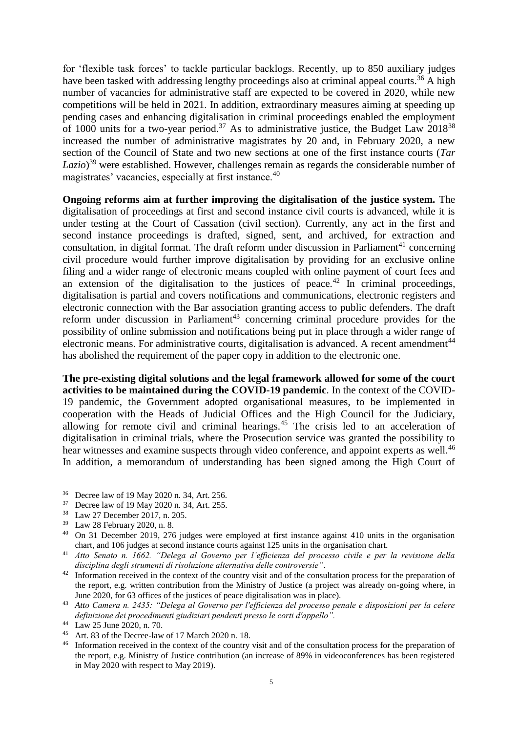for 'flexible task forces' to tackle particular backlogs. Recently, up to 850 auxiliary judges have been tasked with addressing lengthy proceedings also at criminal appeal courts.<sup>36</sup> A high number of vacancies for administrative staff are expected to be covered in 2020, while new competitions will be held in 2021. In addition, extraordinary measures aiming at speeding up pending cases and enhancing digitalisation in criminal proceedings enabled the employment of 1000 units for a two-year period.<sup>37</sup> As to administrative justice, the Budget Law  $2018^{38}$ increased the number of administrative magistrates by 20 and, in February 2020, a new section of the Council of State and two new sections at one of the first instance courts (*Tar Lazio*) <sup>39</sup> were established. However, challenges remain as regards the considerable number of magistrates' vacancies, especially at first instance.<sup>40</sup>

**Ongoing reforms aim at further improving the digitalisation of the justice system.** The digitalisation of proceedings at first and second instance civil courts is advanced, while it is under testing at the Court of Cassation (civil section). Currently, any act in the first and second instance proceedings is drafted, signed, sent, and archived, for extraction and consultation, in digital format. The draft reform under discussion in Parliament<sup>41</sup> concerning civil procedure would further improve digitalisation by providing for an exclusive online filing and a wider range of electronic means coupled with online payment of court fees and an extension of the digitalisation to the justices of peace.<sup>42</sup> In criminal proceedings, digitalisation is partial and covers notifications and communications, electronic registers and electronic connection with the Bar association granting access to public defenders. The draft reform under discussion in Parliament<sup>43</sup> concerning criminal procedure provides for the possibility of online submission and notifications being put in place through a wider range of electronic means. For administrative courts, digitalisation is advanced. A recent amendment<sup>44</sup> has abolished the requirement of the paper copy in addition to the electronic one.

**The pre-existing digital solutions and the legal framework allowed for some of the court activities to be maintained during the COVID-19 pandemic**. In the context of the COVID-19 pandemic, the Government adopted organisational measures, to be implemented in cooperation with the Heads of Judicial Offices and the High Council for the Judiciary, allowing for remote civil and criminal hearings.<sup>45</sup> The crisis led to an acceleration of digitalisation in criminal trials, where the Prosecution service was granted the possibility to hear witnesses and examine suspects through video conference, and appoint experts as well.<sup>46</sup> In addition, a memorandum of understanding has been signed among the High Court of

<sup>36</sup> Decree law of 19 May 2020 n. 34, Art. 256.

<sup>37</sup> Decree law of 19 May 2020 n. 34, Art. 255.

<sup>38</sup> Law 27 December 2017, n. 205.

<sup>39</sup> Law 28 February 2020, n. 8.

<sup>40</sup> On 31 December 2019, 276 judges were employed at first instance against 410 units in the organisation chart, and 106 judges at second instance courts against 125 units in the organisation chart.

<sup>41</sup> *Atto Senato n. 1662. "Delega al Governo per l'efficienza del processo civile e per la revisione della disciplina degli strumenti di risoluzione alternativa delle controversie"*.

<sup>&</sup>lt;sup>42</sup> Information received in the context of the country visit and of the consultation process for the preparation of the report, e.g. written contribution from the Ministry of Justice (a project was already on-going where, in June 2020, for 63 offices of the justices of peace digitalisation was in place).

<sup>43</sup> *Atto Camera n. 2435: "Delega al Governo per l'efficienza del processo penale e disposizioni per la celere definizione dei procedimenti giudiziari pendenti presso le corti d'appello".*

<sup>44</sup> Law 25 June 2020, n. 70.

<sup>45</sup> Art. 83 of the Decree-law of 17 March 2020 n. 18.

<sup>&</sup>lt;sup>46</sup> Information received in the context of the country visit and of the consultation process for the preparation of the report, e.g. Ministry of Justice contribution (an increase of 89% in videoconferences has been registered in May 2020 with respect to May 2019).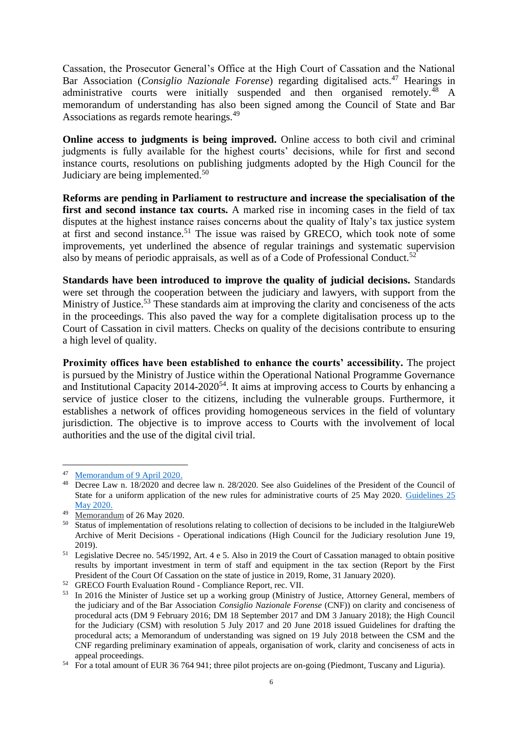Cassation, the Prosecutor General's Office at the High Court of Cassation and the National Bar Association (*Consiglio Nazionale Forense*) regarding digitalised acts.<sup>47</sup> Hearings in administrative courts were initially suspended and then organised remotely.<sup>48</sup> A memorandum of understanding has also been signed among the Council of State and Bar Associations as regards remote hearings.<sup>49</sup>

**Online access to judgments is being improved.** Online access to both civil and criminal judgments is fully available for the highest courts' decisions, while for first and second instance courts, resolutions on publishing judgments adopted by the High Council for the Judiciary are being implemented.<sup>50</sup>

**Reforms are pending in Parliament to restructure and increase the specialisation of the first and second instance tax courts.** A marked rise in incoming cases in the field of tax disputes at the highest instance raises concerns about the quality of Italy's tax justice system at first and second instance.<sup>51</sup> The issue was raised by GRECO, which took note of some improvements, yet underlined the absence of regular trainings and systematic supervision also by means of periodic appraisals, as well as of a Code of Professional Conduct.<sup>52</sup>

**Standards have been introduced to improve the quality of judicial decisions.** Standards were set through the cooperation between the judiciary and lawyers, with support from the Ministry of Justice.<sup>53</sup> These standards aim at improving the clarity and conciseness of the acts in the proceedings. This also paved the way for a complete digitalisation process up to the Court of Cassation in civil matters. Checks on quality of the decisions contribute to ensuring a high level of quality.

**Proximity offices have been established to enhance the courts' accessibility.** The project is pursued by the Ministry of Justice within the Operational National Programme Governance and Institutional Capacity  $2014-2020^{54}$ . It aims at improving access to Courts by enhancing a service of justice closer to the citizens, including the vulnerable groups. Furthermore, it establishes a network of offices providing homogeneous services in the field of voluntary jurisdiction. The objective is to improve access to Courts with the involvement of local authorities and the use of the digital civil trial.

<sup>&</sup>lt;u>.</u> <sup>47</sup> [Memorandum of 9 April 2020.](file://///NET1.cec.eu.int/HOMES/109/panelsa/Desktop/IT/RoL/IT%20_Chapter/Memorandum%20of%209%20April%202020)

<sup>48</sup> Decree Law n. 18/2020 and decree law n. 28/2020. See also Guidelines of the President of the Council of State for a uniform application of the new rules for administrative courts of 25 May 2020. [Guidelines 25](https://www.giustizia-amministrativa.it/documents/20142/1869446/CdS_Linee+guida+25.05.2020_signed.pdf/279399ee-d625-9a1c-8330-b5072d7f1eb3)  [May 2020.](https://www.giustizia-amministrativa.it/documents/20142/1869446/CdS_Linee+guida+25.05.2020_signed.pdf/279399ee-d625-9a1c-8330-b5072d7f1eb3)

<sup>49</sup> [Memorandum](https://www.giustizia-amministrativa.it/documents/20142/1869446/PROTOCOLLO+INTESA+-+UDIENZA+DA+REMOTO+EX+ART.+4+D.L.+28_2020_signed.pdf/d9a07203-3281-3b24-49ed-54fecc6b64f7) of 26 May 2020.

<sup>&</sup>lt;sup>50</sup> Status of implementation of resolutions relating to collection of decisions to be included in the ItalgiureWeb Archive of Merit Decisions - Operational indications (High Council for the Judiciary resolution June 19, 2019).

<sup>51</sup> Legislative Decree no. 545/1992, Art. 4 e 5. Also in 2019 the Court of Cassation managed to obtain positive results by important investment in term of staff and equipment in the tax section (Report by the First President of the Court Of Cassation on the state of justice in 2019, Rome, 31 January 2020).

<sup>52</sup> GRECO Fourth Evaluation Round - Compliance Report, rec. VII.

<sup>&</sup>lt;sup>53</sup> In 2016 the Minister of Justice set up a working group (Ministry of Justice, Attorney General, members of the judiciary and of the Bar Association *Consiglio Nazionale Forense* (CNF)) on clarity and conciseness of procedural acts (DM 9 February 2016; DM 18 September 2017 and DM 3 January 2018); the High Council for the Judiciary (CSM) with resolution 5 July 2017 and 20 June 2018 issued Guidelines for drafting the procedural acts; a Memorandum of understanding was signed on 19 July 2018 between the CSM and the CNF regarding preliminary examination of appeals, organisation of work, clarity and conciseness of acts in appeal proceedings.

<sup>&</sup>lt;sup>54</sup> For a total amount of EUR 36 764 941; three pilot projects are on-going (Piedmont, Tuscany and Liguria).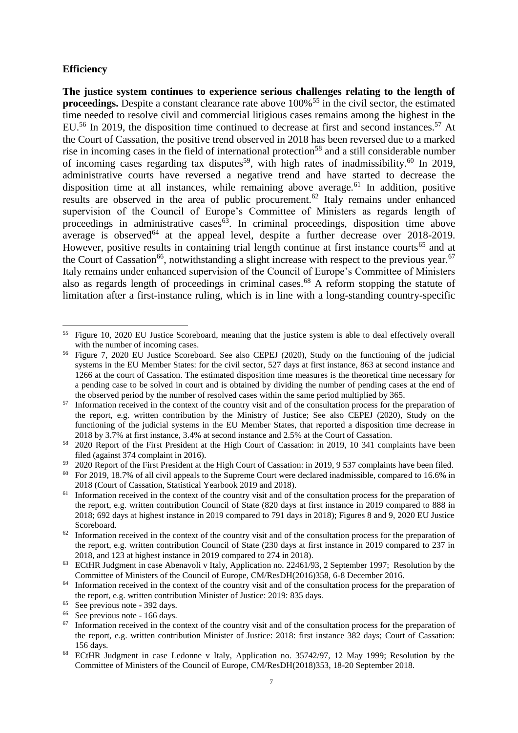#### **Efficiency**

1

**The justice system continues to experience serious challenges relating to the length of proceedings.** Despite a constant clearance rate above 100%<sup>55</sup> in the civil sector, the estimated time needed to resolve civil and commercial litigious cases remains among the highest in the EU.<sup>56</sup> In 2019, the disposition time continued to decrease at first and second instances.<sup>57</sup> At the Court of Cassation, the positive trend observed in 2018 has been reversed due to a marked rise in incoming cases in the field of international protection<sup>58</sup> and a still considerable number of incoming cases regarding tax disputes<sup>59</sup>, with high rates of inadmissibility.<sup>60</sup> In 2019, administrative courts have reversed a negative trend and have started to decrease the disposition time at all instances, while remaining above average.<sup>61</sup> In addition, positive results are observed in the area of public procurement.<sup>62</sup> Italy remains under enhanced supervision of the Council of Europe's Committee of Ministers as regards length of proceedings in administrative cases<sup>63</sup>. In criminal proceedings, disposition time above average is observed<sup>64</sup> at the appeal level, despite a further decrease over 2018-2019. However, positive results in containing trial length continue at first instance courts<sup>65</sup> and at the Court of Cassation<sup>66</sup>, notwithstanding a slight increase with respect to the previous year.<sup>67</sup> Italy remains under enhanced supervision of the Council of Europe's Committee of Ministers also as regards length of proceedings in criminal cases.<sup>68</sup> A reform stopping the statute of limitation after a first-instance ruling, which is in line with a long-standing country-specific

<sup>55</sup> Figure 10, 2020 EU Justice Scoreboard, meaning that the justice system is able to deal effectively overall with the number of incoming cases.

<sup>56</sup> Figure 7, 2020 EU Justice Scoreboard. See also CEPEJ (2020), Study on the functioning of the judicial systems in the EU Member States: for the civil sector, 527 days at first instance, 863 at second instance and 1266 at the court of Cassation. The estimated disposition time measures is the theoretical time necessary for a pending case to be solved in court and is obtained by dividing the number of pending cases at the end of the observed period by the number of resolved cases within the same period multiplied by 365.

Information received in the context of the country visit and of the consultation process for the preparation of the report, e.g. written contribution by the Ministry of Justice; See also CEPEJ (2020), Study on the functioning of the judicial systems in the EU Member States, that reported a disposition time decrease in 2018 by 3.7% at first instance, 3.4% at second instance and 2.5% at the Court of Cassation.

<sup>&</sup>lt;sup>58</sup> 2020 Report of the First President at the High Court of Cassation: in 2019, 10 341 complaints have been filed (against 374 complaint in 2016).

 $59\quad 2020$  Report of the First President at the High Court of Cassation: in 2019, 9 537 complaints have been filed.

For 2019, 18.7% of all civil appeals to the Supreme Court were declared inadmissible, compared to 16.6% in 2018 (Court of Cassation, Statistical Yearbook 2019 and 2018).

 $61$  Information received in the context of the country visit and of the consultation process for the preparation of the report, e.g. written contribution Council of State (820 days at first instance in 2019 compared to 888 in 2018; 692 days at highest instance in 2019 compared to 791 days in 2018); Figures 8 and 9, 2020 EU Justice Scoreboard.

 $62$  Information received in the context of the country visit and of the consultation process for the preparation of the report, e.g. written contribution Council of State (230 days at first instance in 2019 compared to 237 in 2018, and 123 at highest instance in 2019 compared to 274 in 2018).

<sup>63</sup> ECtHR Judgment in case Abenavoli v Italy, Application no. 22461/93, 2 September 1997; Resolution by the Committee of Ministers of the Council of Europe, CM/ResDH(2016)358, 6-8 December 2016.

<sup>&</sup>lt;sup>64</sup> Information received in the context of the country visit and of the consultation process for the preparation of the report, e.g. written contribution Minister of Justice: 2019: 835 days.

 $65$  See previous note - 392 days.

 $^{66}$  See previous note - 166 days.<br> $^{67}$  Information received in the co

Information received in the context of the country visit and of the consultation process for the preparation of the report, e.g. written contribution Minister of Justice: 2018: first instance 382 days; Court of Cassation: 156 days.

<sup>68</sup> ECtHR Judgment in case Ledonne v Italy, Application no. 35742/97, 12 May 1999; Resolution by the Committee of Ministers of the Council of Europe, CM/ResDH(2018)353, 18-20 September 2018.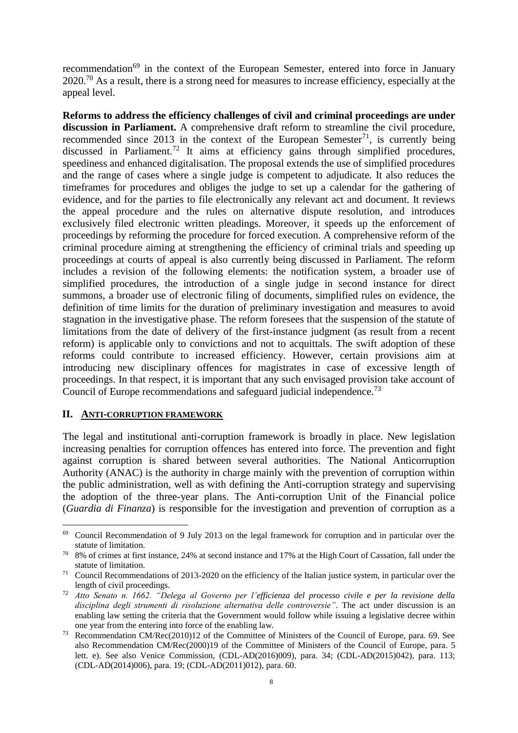recommendation<sup>69</sup> in the context of the European Semester, entered into force in January  $2020$ <sup>70</sup> As a result, there is a strong need for measures to increase efficiency, especially at the appeal level.

**Reforms to address the efficiency challenges of civil and criminal proceedings are under discussion in Parliament.** A comprehensive draft reform to streamline the civil procedure, recommended since  $2013$  in the context of the European Semester<sup>71</sup>, is currently being discussed in Parliament.<sup>72</sup> It aims at efficiency gains through simplified procedures, speediness and enhanced digitalisation. The proposal extends the use of simplified procedures and the range of cases where a single judge is competent to adjudicate. It also reduces the timeframes for procedures and obliges the judge to set up a calendar for the gathering of evidence, and for the parties to file electronically any relevant act and document. It reviews the appeal procedure and the rules on alternative dispute resolution, and introduces exclusively filed electronic written pleadings. Moreover, it speeds up the enforcement of proceedings by reforming the procedure for forced execution. A comprehensive reform of the criminal procedure aiming at strengthening the efficiency of criminal trials and speeding up proceedings at courts of appeal is also currently being discussed in Parliament. The reform includes a revision of the following elements: the notification system, a broader use of simplified procedures, the introduction of a single judge in second instance for direct summons, a broader use of electronic filing of documents, simplified rules on evidence, the definition of time limits for the duration of preliminary investigation and measures to avoid stagnation in the investigative phase. The reform foresees that the suspension of the statute of limitations from the date of delivery of the first-instance judgment (as result from a recent reform) is applicable only to convictions and not to acquittals. The swift adoption of these reforms could contribute to increased efficiency. However, certain provisions aim at introducing new disciplinary offences for magistrates in case of excessive length of proceedings. In that respect, it is important that any such envisaged provision take account of Council of Europe recommendations and safeguard judicial independence.<sup>73</sup>

#### **II. ANTI-CORRUPTION FRAMEWORK**

<u>.</u>

The legal and institutional anti-corruption framework is broadly in place. New legislation increasing penalties for corruption offences has entered into force. The prevention and fight against corruption is shared between several authorities. The National Anticorruption Authority (ANAC) is the authority in charge mainly with the prevention of corruption within the public administration, well as with defining the Anti-corruption strategy and supervising the adoption of the three-year plans. The Anti-corruption Unit of the Financial police (*Guardia di Finanza*) is responsible for the investigation and prevention of corruption as a

<sup>69</sup> Council Recommendation of 9 July 2013 on the legal framework for corruption and in particular over the statute of limitation.

<sup>&</sup>lt;sup>70</sup> 8% of crimes at first instance, 24% at second instance and 17% at the High Court of Cassation, fall under the statute of limitation.

<sup>&</sup>lt;sup>71</sup> Council Recommendations of 2013-2020 on the efficiency of the Italian justice system, in particular over the length of civil proceedings.

<sup>72</sup> *Atto Senato n. 1662. "Delega al Governo per l'efficienza del processo civile e per la revisione della disciplina degli strumenti di risoluzione alternativa delle controversie"*. The act under discussion is an enabling law setting the criteria that the Government would follow while issuing a legislative decree within one year from the entering into force of the enabling law.

Recommendation CM/Rec(2010)12 of the Committee of Ministers of the Council of Europe, para. 69. See also Recommendation CM/Rec(2000)19 of the Committee of Ministers of the Council of Europe, para. 5 lett. e). See also Venice Commission, (CDL-AD(2016)009), para. 34; (CDL-AD(2015)042), para. 113; (CDL-AD(2014)006), para. 19; (CDL-AD(2011)012), para. 60.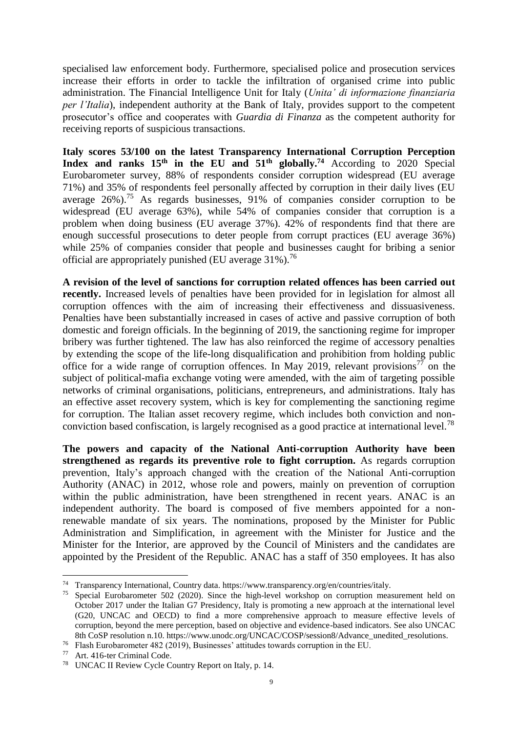specialised law enforcement body. Furthermore, specialised police and prosecution services increase their efforts in order to tackle the infiltration of organised crime into public administration. The Financial Intelligence Unit for Italy (*Unita' di informazione finanziaria per l'Italia*), independent authority at the Bank of Italy, provides support to the competent prosecutor's office and cooperates with *Guardia di Finanza* as the competent authority for receiving reports of suspicious transactions.

**Italy scores 53/100 on the latest Transparency International Corruption Perception Index and ranks 15<sup>th</sup> in the EU and**  $51<sup>th</sup>$  **<b>globally.**<sup>74</sup> According to 2020 Special Eurobarometer survey, 88% of respondents consider corruption widespread (EU average 71%) and 35% of respondents feel personally affected by corruption in their daily lives (EU average 26%).<sup>75</sup> As regards businesses, 91% of companies consider corruption to be widespread (EU average 63%), while 54% of companies consider that corruption is a problem when doing business (EU average 37%). 42% of respondents find that there are enough successful prosecutions to deter people from corrupt practices (EU average 36%) while 25% of companies consider that people and businesses caught for bribing a senior official are appropriately punished (EU average  $31\%$ ).<sup>76</sup>

**A revision of the level of sanctions for corruption related offences has been carried out recently.** Increased levels of penalties have been provided for in legislation for almost all corruption offences with the aim of increasing their effectiveness and dissuasiveness. Penalties have been substantially increased in cases of active and passive corruption of both domestic and foreign officials. In the beginning of 2019, the sanctioning regime for improper bribery was further tightened. The law has also reinforced the regime of accessory penalties by extending the scope of the life-long disqualification and prohibition from holding public office for a wide range of corruption offences. In May 2019, relevant provisions<sup>77</sup> on the subject of political-mafia exchange voting were amended, with the aim of targeting possible networks of criminal organisations, politicians, entrepreneurs, and administrations. Italy has an effective asset recovery system, which is key for complementing the sanctioning regime for corruption. The Italian asset recovery regime, which includes both conviction and nonconviction based confiscation, is largely recognised as a good practice at international level.<sup>78</sup>

**The powers and capacity of the National Anti-corruption Authority have been strengthened as regards its preventive role to fight corruption.** As regards corruption prevention, Italy's approach changed with the creation of the National Anti-corruption Authority (ANAC) in 2012, whose role and powers, mainly on prevention of corruption within the public administration, have been strengthened in recent years. ANAC is an independent authority. The board is composed of five members appointed for a nonrenewable mandate of six years. The nominations, proposed by the Minister for Public Administration and Simplification, in agreement with the Minister for Justice and the Minister for the Interior, are approved by the Council of Ministers and the candidates are appointed by the President of the Republic. ANAC has a staff of 350 employees. It has also

<sup>74</sup> Transparency International, Country data. https://www.transparency.org/en/countries/italy.

<sup>&</sup>lt;sup>75</sup> Special Eurobarometer 502 (2020). Since the high-level workshop on corruption measurement held on October 2017 under the Italian G7 Presidency, Italy is promoting a new approach at the international level (G20, UNCAC and OECD) to find a more comprehensive approach to measure effective levels of corruption, beyond the mere perception, based on objective and evidence-based indicators. See also UNCAC 8th CoSP resolution n.10. https://www.unodc.org/UNCAC/COSP/session8/Advance\_unedited\_resolutions.

<sup>76</sup> Flash Eurobarometer 482 (2019), Businesses' attitudes towards corruption in the EU.

<sup>77</sup> Art. 416-ter Criminal Code.

<sup>78</sup> UNCAC II Review Cycle Country Report on Italy, p. 14.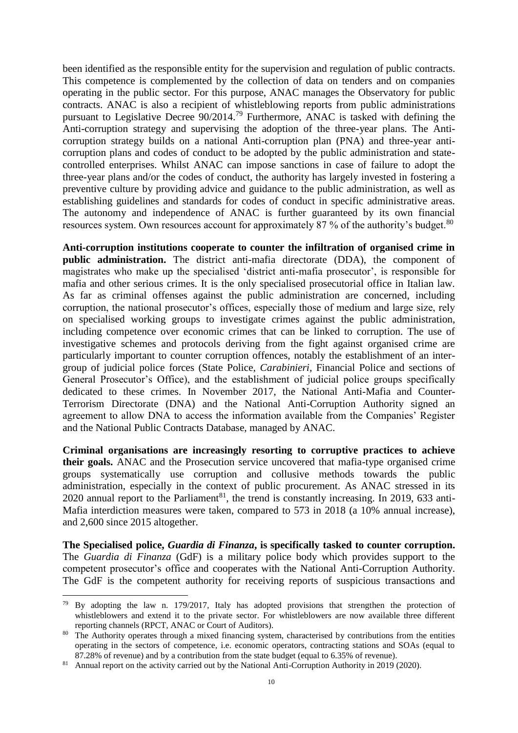been identified as the responsible entity for the supervision and regulation of public contracts. This competence is complemented by the collection of data on tenders and on companies operating in the public sector. For this purpose, ANAC manages the Observatory for public contracts. ANAC is also a recipient of whistleblowing reports from public administrations pursuant to Legislative Decree  $90/2014$ <sup>79</sup> Furthermore, ANAC is tasked with defining the Anti-corruption strategy and supervising the adoption of the three-year plans. The Anticorruption strategy builds on a national Anti-corruption plan (PNA) and three-year anticorruption plans and codes of conduct to be adopted by the public administration and statecontrolled enterprises. Whilst ANAC can impose sanctions in case of failure to adopt the three-year plans and/or the codes of conduct, the authority has largely invested in fostering a preventive culture by providing advice and guidance to the public administration, as well as establishing guidelines and standards for codes of conduct in specific administrative areas. The autonomy and independence of ANAC is further guaranteed by its own financial resources system. Own resources account for approximately 87 % of the authority's budget.<sup>80</sup>

**Anti-corruption institutions cooperate to counter the infiltration of organised crime in public administration.** The district anti-mafia directorate (DDA), the component of magistrates who make up the specialised 'district anti-mafia prosecutor', is responsible for mafia and other serious crimes. It is the only specialised prosecutorial office in Italian law. As far as criminal offenses against the public administration are concerned, including corruption, the national prosecutor's offices, especially those of medium and large size, rely on specialised working groups to investigate crimes against the public administration, including competence over economic crimes that can be linked to corruption. The use of investigative schemes and protocols deriving from the fight against organised crime are particularly important to counter corruption offences, notably the establishment of an intergroup of judicial police forces (State Police, *Carabinieri*, Financial Police and sections of General Prosecutor's Office), and the establishment of judicial police groups specifically dedicated to these crimes. In November 2017, the National Anti-Mafia and Counter-Terrorism Directorate (DNA) and the National Anti-Corruption Authority signed an agreement to allow DNA to access the information available from the Companies' Register and the National Public Contracts Database, managed by ANAC.

**Criminal organisations are increasingly resorting to corruptive practices to achieve their goals.** ANAC and the Prosecution service uncovered that mafia-type organised crime groups systematically use corruption and collusive methods towards the public administration, especially in the context of public procurement. As ANAC stressed in its 2020 annual report to the Parliament<sup>81</sup>, the trend is constantly increasing. In 2019, 633 anti-Mafia interdiction measures were taken, compared to 573 in 2018 (a 10% annual increase), and 2,600 since 2015 altogether.

**The Specialised police,** *Guardia di Finanza***, is specifically tasked to counter corruption.**  The *Guardia di Finanza* (GdF) is a military police body which provides support to the competent prosecutor's office and cooperates with the National Anti-Corruption Authority. The GdF is the competent authority for receiving reports of suspicious transactions and

 $79$  By adopting the law n. 179/2017, Italy has adopted provisions that strengthen the protection of whistleblowers and extend it to the private sector. For whistleblowers are now available three different reporting channels (RPCT, ANAC or Court of Auditors).

<sup>&</sup>lt;sup>80</sup> The Authority operates through a mixed financing system, characterised by contributions from the entities operating in the sectors of competence, i.e. economic operators, contracting stations and SOAs (equal to 87.28% of revenue) and by a contribution from the state budget (equal to 6.35% of revenue).

<sup>&</sup>lt;sup>81</sup> Annual report on the activity carried out by the National Anti-Corruption Authority in 2019 (2020).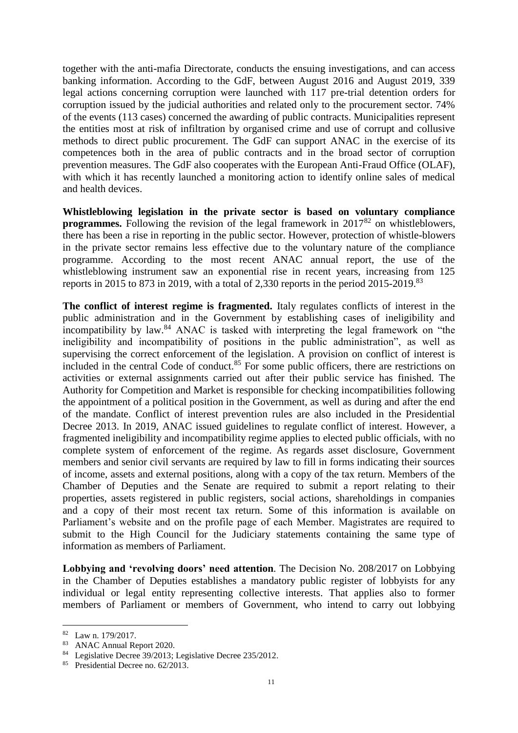together with the anti-mafia Directorate, conducts the ensuing investigations, and can access banking information. According to the GdF, between August 2016 and August 2019, 339 legal actions concerning corruption were launched with 117 pre-trial detention orders for corruption issued by the judicial authorities and related only to the procurement sector. 74% of the events (113 cases) concerned the awarding of public contracts. Municipalities represent the entities most at risk of infiltration by organised crime and use of corrupt and collusive methods to direct public procurement. The GdF can support ANAC in the exercise of its competences both in the area of public contracts and in the broad sector of corruption prevention measures. The GdF also cooperates with the European Anti-Fraud Office (OLAF), with which it has recently launched a monitoring action to identify online sales of medical and health devices.

**Whistleblowing legislation in the private sector is based on voluntary compliance programmes.** Following the revision of the legal framework in 2017<sup>82</sup> on whistleblowers, there has been a rise in reporting in the public sector. However, protection of whistle-blowers in the private sector remains less effective due to the voluntary nature of the compliance programme. According to the most recent ANAC annual report, the use of the whistleblowing instrument saw an exponential rise in recent years, increasing from 125 reports in 2015 to 873 in 2019, with a total of 2,330 reports in the period 2015-2019.<sup>83</sup>

**The conflict of interest regime is fragmented.** Italy regulates conflicts of interest in the public administration and in the Government by establishing cases of ineligibility and incompatibility by law.<sup>84</sup> ANAC is tasked with interpreting the legal framework on "the ineligibility and incompatibility of positions in the public administration", as well as supervising the correct enforcement of the legislation. A provision on conflict of interest is included in the central Code of conduct.<sup>85</sup> For some public officers, there are restrictions on activities or external assignments carried out after their public service has finished. The Authority for Competition and Market is responsible for checking incompatibilities following the appointment of a political position in the Government, as well as during and after the end of the mandate. Conflict of interest prevention rules are also included in the Presidential Decree 2013. In 2019, ANAC issued guidelines to regulate conflict of interest. However, a fragmented ineligibility and incompatibility regime applies to elected public officials, with no complete system of enforcement of the regime. As regards asset disclosure, Government members and senior civil servants are required by law to fill in forms indicating their sources of income, assets and external positions, along with a copy of the tax return. Members of the Chamber of Deputies and the Senate are required to submit a report relating to their properties, assets registered in public registers, social actions, shareholdings in companies and a copy of their most recent tax return. Some of this information is available on Parliament's website and on the profile page of each Member. Magistrates are required to submit to the High Council for the Judiciary statements containing the same type of information as members of Parliament.

**Lobbying and 'revolving doors' need attention**. The Decision No. 208/2017 on Lobbying in the Chamber of Deputies establishes a mandatory public register of lobbyists for any individual or legal entity representing collective interests. That applies also to former members of Parliament or members of Government, who intend to carry out lobbying

<u>.</u>

<sup>82</sup> Law n. 179/2017.

<sup>83</sup> ANAC Annual Report 2020.

<sup>84</sup> [Legislative Decree 39/2013;](https://www.normattiva.it/atto/caricaDettaglioAtto?atto.dataPubblicazioneGazzetta=2013-04-19&atto.codiceRedazionale=13G00081&queryString=%3FmeseProvvedimento%3D%26formType%3Dricerca_semplice%26numeroArticolo%3D%26numeroProvvedimento%3D39%26testo%3D%26annoProvvedimento%3D2013%26giornoProvvedimento%3D¤tPage=1) [Legislative Decree 235/2012.](https://www.normattiva.it/uri-res/N2Ls?urn:nir:stato:decreto.legislativo:2012-12-31;235%21vig=)

<sup>&</sup>lt;sup>85</sup> [Presidential Decree no. 62/2013.](https://www.normattiva.it/uri-res/N2Ls?urn:nir:stato:decreto.del.presidente.della.repubblica:2013-04-16;62%21vig=%20)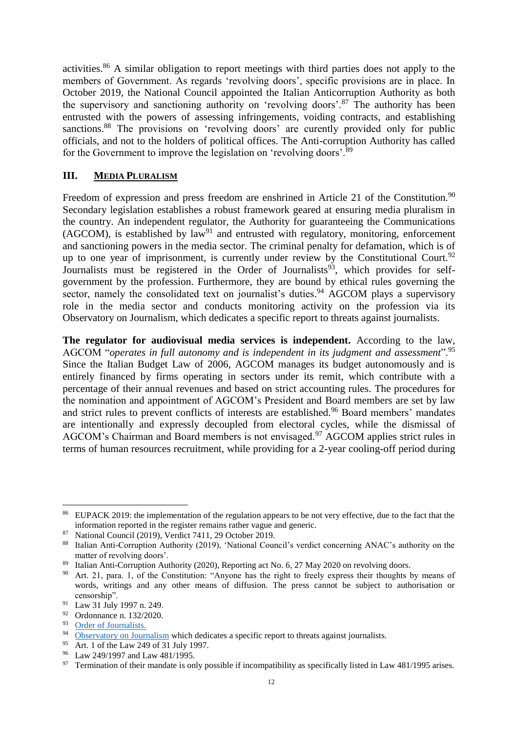activities.<sup>86</sup> A similar obligation to report meetings with third parties does not apply to the members of Government. As regards 'revolving doors', specific provisions are in place. In October 2019, the National Council appointed the Italian Anticorruption Authority as both the supervisory and sanctioning authority on 'revolving doors'.<sup>87</sup> The authority has been entrusted with the powers of assessing infringements, voiding contracts, and establishing sanctions.<sup>88</sup> The provisions on 'revolving doors' are curently provided only for public officials, and not to the holders of political offices. The Anti-corruption Authority has called for the Government to improve the legislation on 'revolving doors'.<sup>89</sup>

#### **III. MEDIA PLURALISM**

Freedom of expression and press freedom are enshrined in Article 21 of the Constitution.<sup>90</sup> Secondary legislation establishes a robust framework geared at ensuring media pluralism in the country. An independent regulator, the Authority for guaranteeing the Communications  $(AGCOM)$ , is established by law<sup>91</sup> and entrusted with regulatory, monitoring, enforcement and sanctioning powers in the media sector. The criminal penalty for defamation, which is of up to one year of imprisonment, is currently under review by the Constitutional Court.<sup>92</sup> Journalists must be registered in the Order of Journalists<sup>93</sup>, which provides for selfgovernment by the profession. Furthermore, they are bound by ethical rules governing the sector, namely the consolidated text on journalist's duties.<sup>94</sup> AGCOM plays a supervisory role in the media sector and conducts monitoring activity on the profession via its Observatory on Journalism, which dedicates a specific report to threats against journalists.

**The regulator for audiovisual media services is independent.** According to the law, AGCOM "*operates in full autonomy and is independent in its judgment and assessment*".<sup>95</sup> Since the Italian Budget Law of 2006, AGCOM manages its budget autonomously and is entirely financed by firms operating in sectors under its remit, which contribute with a percentage of their annual revenues and based on strict accounting rules. The procedures for the nomination and appointment of AGCOM's President and Board members are set by law and strict rules to prevent conflicts of interests are established.<sup>96</sup> Board members' mandates are intentionally and expressly decoupled from electoral cycles, while the dismissal of AGCOM's Chairman and Board members is not envisaged.<sup>97</sup> AGCOM applies strict rules in terms of human resources recruitment, while providing for a 2-year cooling-off period during

<sup>86</sup> EUPACK 2019: the implementation of the regulation appears to be not very effective, due to the fact that the information reported in the register remains rather vague and generic.

<sup>87</sup> National Council (2019), Verdict 7411, 29 October 2019.

<sup>88</sup> Italian Anti-Corruption Authority (2019), 'National Council's verdict concerning ANAC's authority on the matter of revolving doors'.

<sup>&</sup>lt;sup>89</sup> Italian Anti-Corruption Authority (2020), Reporting act No. 6, 27 May 2020 on revolving doors.

<sup>&</sup>lt;sup>90</sup> Art. 21, para. 1, of the Constitution: "Anyone has the right to freely express their thoughts by means of words, writings and any other means of diffusion. The press cannot be subject to authorisation or censorship".

<sup>91</sup> Law 31 July 1997 n. 249.

<sup>92</sup> Ordonnance n. 132/2020.

 $^{93}$  [Order of Journalists.](https://www.odg.it/)

[Observatory on Journalism](https://www.agcom.it/osservatorio-giornalismo) which dedicates a specific report to threats against journalists.

<sup>95</sup> Art. 1 of the Law 249 of 31 July 1997.

<sup>96</sup> Law 249/1997 and Law 481/1995.

 $97$  Termination of their mandate is only possible if incompatibility as specifically listed in Law 481/1995 arises.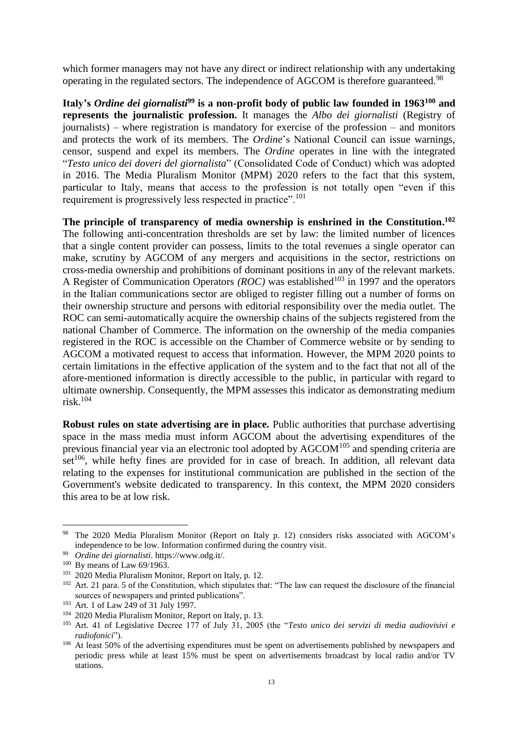which former managers may not have any direct or indirect relationship with any undertaking operating in the regulated sectors. The independence of AGCOM is therefore guaranteed.<sup>98</sup>

**Italy's** *Ordine dei giornalisti***<sup>99</sup> is a non-profit body of public law founded in 1963<sup>100</sup> and represents the journalistic profession.** It manages the *Albo dei giornalisti* (Registry of journalists) – where registration is mandatory for exercise of the profession – and monitors and protects the work of its members. The *Ordine*'s National Council can issue warnings, censor, suspend and expel its members. The *Ordine* operates in line with the integrated "*Testo unico dei doveri del giornalista*" (Consolidated Code of Conduct) which was adopted in 2016. The Media Pluralism Monitor (MPM) 2020 refers to the fact that this system, particular to Italy, means that access to the profession is not totally open "even if this requirement is progressively less respected in practice".<sup>101</sup>

**The principle of transparency of media ownership is enshrined in the Constitution. 102** The following anti-concentration thresholds are set by law: the limited number of licences that a single content provider can possess, limits to the total revenues a single operator can make, scrutiny by AGCOM of any mergers and acquisitions in the sector, restrictions on cross-media ownership and prohibitions of dominant positions in any of the relevant markets. A Register of Communication Operators *(ROC)* was established<sup>103</sup> in 1997 and the operators in the Italian communications sector are obliged to register filling out a number of forms on their ownership structure and persons with editorial responsibility over the media outlet. The ROC can semi-automatically acquire the ownership chains of the subjects registered from the national Chamber of Commerce. The information on the ownership of the media companies registered in the ROC is accessible on the Chamber of Commerce website or by sending to AGCOM a motivated request to access that information. However, the MPM 2020 points to certain limitations in the effective application of the system and to the fact that not all of the afore-mentioned information is directly accessible to the public, in particular with regard to ultimate ownership. Consequently, the MPM assesses this indicator as demonstrating medium risk.<sup>104</sup>

**Robust rules on state advertising are in place.** Public authorities that purchase advertising space in the mass media must inform AGCOM about the advertising expenditures of the previous financial year via an electronic tool adopted by AGCOM<sup>105</sup> and spending criteria are set<sup>106</sup>, while hefty fines are provided for in case of breach. In addition, all relevant data relating to the expenses for institutional communication are published in the section of the Government's website dedicated to transparency. In this context, the MPM 2020 considers this area to be at low risk.

<u>.</u>

<sup>98</sup> The 2020 Media Pluralism Monitor (Report on Italy p. 12) considers risks associated with AGCOM's independence to be low. Information confirmed during the country visit.

<sup>99</sup> *Ordine dei giornalisti*. https://www.odg.it/.

<sup>100</sup> By means of Law 69/1963.

<sup>&</sup>lt;sup>101</sup> 2020 Media Pluralism Monitor, Report on Italy, p. 12.

<sup>102</sup> Art. 21 para. 5 of the Constitution, which stipulates that: "The law can request the disclosure of the financial sources of newspapers and printed publications".

<sup>&</sup>lt;sup>103</sup> Art. 1 of Law 249 of 31 July 1997.

<sup>&</sup>lt;sup>104</sup> 2020 Media Pluralism Monitor, Report on Italy, p. 13.

<sup>105</sup> Art. 41 of Legislative Decree 177 of July 31, 2005 (the "*Testo unico dei servizi di media audiovisivi e radiofonici*").

<sup>&</sup>lt;sup>106</sup> At least 50% of the advertising expenditures must be spent on advertisements published by newspapers and periodic press while at least 15% must be spent on advertisements broadcast by local radio and/or TV stations.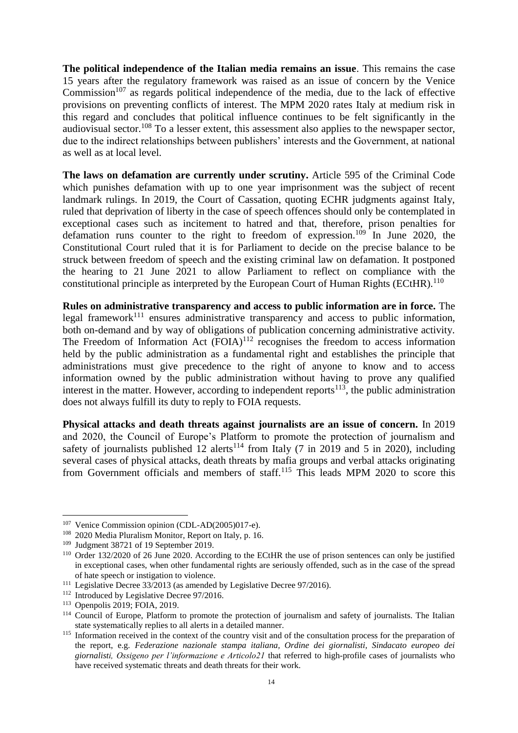**The political independence of the Italian media remains an issue**. This remains the case 15 years after the regulatory framework was raised as an issue of concern by the Venice  $Commission<sup>107</sup>$  as regards political independence of the media, due to the lack of effective provisions on preventing conflicts of interest. The MPM 2020 rates Italy at medium risk in this regard and concludes that political influence continues to be felt significantly in the audiovisual sector.<sup>108</sup> To a lesser extent, this assessment also applies to the newspaper sector, due to the indirect relationships between publishers' interests and the Government, at national as well as at local level.

**The laws on defamation are currently under scrutiny.** Article 595 of the Criminal Code which punishes defamation with up to one year imprisonment was the subject of recent landmark rulings. In 2019, the Court of Cassation, quoting ECHR judgments against Italy, ruled that deprivation of liberty in the case of speech offences should only be contemplated in exceptional cases such as incitement to hatred and that, therefore, prison penalties for defamation runs counter to the right to freedom of expression.<sup>109</sup> In June 2020, the Constitutional Court ruled that it is for Parliament to decide on the precise balance to be struck between freedom of speech and the existing criminal law on defamation. It postponed the hearing to 21 June 2021 to allow Parliament to reflect on compliance with the constitutional principle as interpreted by the European Court of Human Rights (ECtHR).<sup>110</sup>

**Rules on administrative transparency and access to public information are in force.** The legal framework<sup>111</sup> ensures administrative transparency and access to public information, both on-demand and by way of obligations of publication concerning administrative activity. The Freedom of Information Act  $(FOIA)^{112}$  recognises the freedom to access information held by the public administration as a fundamental right and establishes the principle that administrations must give precedence to the right of anyone to know and to access information owned by the public administration without having to prove any qualified interest in the matter. However, according to independent reports<sup>113</sup>, the public administration does not always fulfill its duty to reply to FOIA requests.

**Physical attacks and death threats against journalists are an issue of concern.** In 2019 and 2020, the Council of Europe's Platform to promote the protection of journalism and safety of journalists published 12 alerts<sup>114</sup> from Italy (7 in 2019 and 5 in 2020), including several cases of physical attacks, death threats by mafia groups and verbal attacks originating from Government officials and members of staff.<sup>115</sup> This leads MPM 2020 to score this

<sup>&</sup>lt;sup>107</sup> Venice Commission opinion (CDL-AD(2005)017-e).

<sup>108</sup> 2020 Media Pluralism Monitor, Report on Italy, p. 16.

<sup>&</sup>lt;sup>109</sup> Judgment 38721 of 19 September 2019.

<sup>110</sup> Order 132/2020 of 26 June 2020. According to the ECtHR the use of prison sentences can only be justified in exceptional cases, when other fundamental rights are seriously offended, such as in the case of the spread of hate speech or instigation to violence.

<sup>&</sup>lt;sup>111</sup> Legislative Decree 33/2013 (as amended by Legislative Decree 97/2016).

<sup>&</sup>lt;sup>112</sup> Introduced by Legislative Decree 97/2016.

<sup>113</sup> Openpolis 2019; FOIA, 2019.

<sup>&</sup>lt;sup>114</sup> Council of Europe, Platform to promote the protection of journalism and safety of journalists. The Italian state systematically replies to all alerts in a detailed manner.

<sup>&</sup>lt;sup>115</sup> Information received in the context of the country visit and of the consultation process for the preparation of the report, e.g. *Federazione nazionale stampa italiana, Ordine dei giornalisti, Sindacato europeo dei giornalisti, Ossigeno per l'informazione e Articolo21* that referred to high-profile cases of journalists who have received systematic threats and death threats for their work.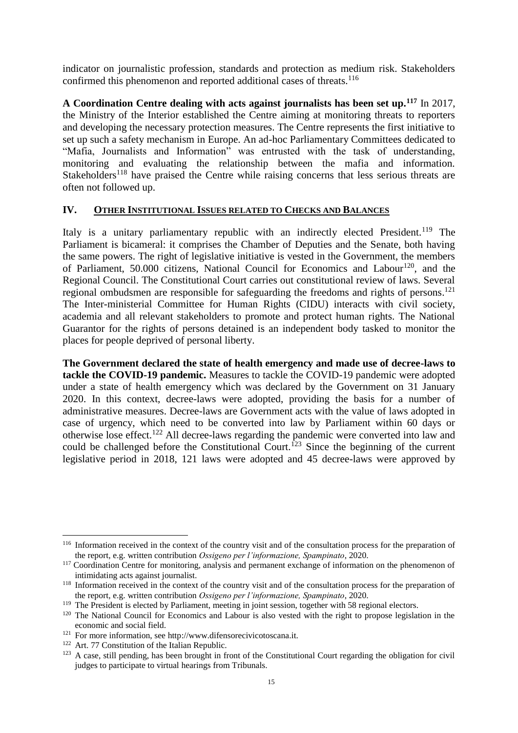indicator on journalistic profession, standards and protection as medium risk. Stakeholders confirmed this phenomenon and reported additional cases of threats.<sup>116</sup>

**A Coordination Centre dealing with acts against journalists has been set up.<sup>117</sup>** In 2017, the Ministry of the Interior established the Centre aiming at monitoring threats to reporters and developing the necessary protection measures. The Centre represents the first initiative to set up such a safety mechanism in Europe. An ad-hoc Parliamentary Committees dedicated to "Mafia, Journalists and Information" was entrusted with the task of understanding, monitoring and evaluating the relationship between the mafia and information. Stakeholders<sup>118</sup> have praised the Centre while raising concerns that less serious threats are often not followed up.

## **IV. OTHER INSTITUTIONAL ISSUES RELATED TO CHECKS AND BALANCES**

Italy is a unitary parliamentary republic with an indirectly elected President.<sup>119</sup> The Parliament is bicameral: it comprises the Chamber of Deputies and the Senate, both having the same powers. The right of legislative initiative is vested in the Government, the members of Parliament,  $50.000$  citizens, National Council for Economics and Labour<sup>120</sup>, and the Regional Council. The Constitutional Court carries out constitutional review of laws. Several regional ombudsmen are responsible for safeguarding the freedoms and rights of persons.<sup>121</sup> The Inter-ministerial Committee for Human Rights (CIDU) interacts with civil society, academia and all relevant stakeholders to promote and protect human rights. The National Guarantor for the rights of persons detained is an independent body tasked to monitor the places for people deprived of personal liberty.

**The Government declared the state of health emergency and made use of decree-laws to tackle the COVID-19 pandemic.** Measures to tackle the COVID-19 pandemic were adopted under a state of health emergency which was declared by the Government on 31 January 2020. In this context, decree-laws were adopted, providing the basis for a number of administrative measures. Decree-laws are Government acts with the value of laws adopted in case of urgency, which need to be converted into law by Parliament within 60 days or otherwise lose effect.<sup>122</sup> All decree-laws regarding the pandemic were converted into law and could be challenged before the Constitutional Court.<sup>123</sup> Since the beginning of the current legislative period in 2018, 121 laws were adopted and 45 decree-laws were approved by

<sup>&</sup>lt;sup>116</sup> Information received in the context of the country visit and of the consultation process for the preparation of the report, e.g. written contribution *Ossigeno per l'informazione, Spampinato*, 2020.

<sup>&</sup>lt;sup>117</sup> Coordination Centre for monitoring, analysis and permanent exchange of information on the phenomenon of intimidating acts against journalist.

<sup>&</sup>lt;sup>118</sup> Information received in the context of the country visit and of the consultation process for the preparation of the report, e.g. written contribution *Ossigeno per l'informazione, Spampinato*, 2020.

<sup>&</sup>lt;sup>119</sup> The President is elected by Parliament, meeting in joint session, together with 58 regional electors.

<sup>&</sup>lt;sup>120</sup> The National Council for Economics and Labour is also vested with the right to propose legislation in the economic and social field.

<sup>121</sup> For more information, see http://www.difensorecivicotoscana.it.

<sup>&</sup>lt;sup>122</sup> Art. 77 Constitution of the Italian Republic.

 $123$  A case, still pending, has been brought in front of the Constitutional Court regarding the obligation for civil judges to participate to virtual hearings from Tribunals.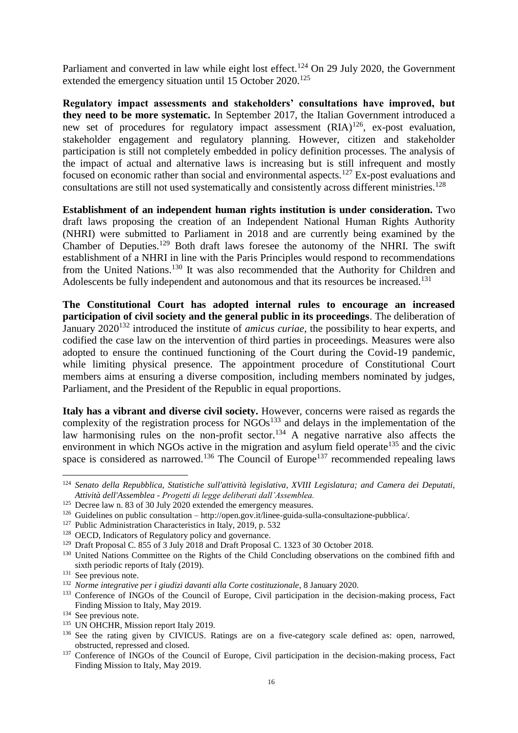Parliament and converted in law while eight lost effect.<sup>124</sup> On 29 July 2020, the Government extended the emergency situation until 15 October 2020.<sup>125</sup>

**Regulatory impact assessments and stakeholders' consultations have improved, but they need to be more systematic.** In September 2017, the Italian Government introduced a new set of procedures for regulatory impact assessment  $(RIA)^{126}$ , ex-post evaluation, stakeholder engagement and regulatory planning. However, citizen and stakeholder participation is still not completely embedded in policy definition processes. The analysis of the impact of actual and alternative laws is increasing but is still infrequent and mostly focused on economic rather than social and environmental aspects.<sup>127</sup> Ex-post evaluations and consultations are still not used systematically and consistently across different ministries.<sup>128</sup>

**Establishment of an independent human rights institution is under consideration.** Two draft laws proposing the creation of an Independent National Human Rights Authority (NHRI) were submitted to Parliament in 2018 and are currently being examined by the Chamber of Deputies.<sup>129</sup> Both draft laws foresee the autonomy of the NHRI. The swift establishment of a NHRI in line with the Paris Principles would respond to recommendations from the United Nations.<sup>130</sup> It was also recommended that the Authority for Children and Adolescents be fully independent and autonomous and that its resources be increased.<sup>131</sup>

**The Constitutional Court has adopted internal rules to encourage an increased participation of civil society and the general public in its proceedings**. The deliberation of January 2020<sup>132</sup> introduced the institute of *amicus curiae*, the possibility to hear experts, and codified the case law on the intervention of third parties in proceedings. Measures were also adopted to ensure the continued functioning of the Court during the Covid-19 pandemic, while limiting physical presence. The appointment procedure of Constitutional Court members aims at ensuring a diverse composition, including members nominated by judges, Parliament, and the President of the Republic in equal proportions.

**Italy has a vibrant and diverse civil society.** However, concerns were raised as regards the complexity of the registration process for  $\rm NGOs^{133}$  and delays in the implementation of the law harmonising rules on the non-profit sector.<sup>134</sup> A negative narrative also affects the environment in which NGOs active in the migration and asylum field operate<sup>135</sup> and the civic space is considered as narrowed.<sup>136</sup> The Council of Europe<sup>137</sup> recommended repealing laws

<sup>124</sup> *Senato della Repubblica, Statistiche sull'attività legislativa, XVIII Legislatura; and Camera dei Deputati, Attività dell'Assemblea - Progetti di legge deliberati dall'Assemblea.*

<sup>&</sup>lt;sup>125</sup> Decree law n. 83 of 30 July 2020 extended the emergency measures.

<sup>126</sup> Guidelines on public consultation – http://open.gov.it/linee-guida-sulla-consultazione-pubblica/.

<sup>&</sup>lt;sup>127</sup> Public Administration Characteristics in Italy, 2019, p. 532

<sup>128</sup> OECD, Indicators of Regulatory policy and governance.

<sup>&</sup>lt;sup>129</sup> Draft Proposal C. 855 of 3 July 2018 and Draft Proposal C. 1323 of 30 October 2018.

<sup>&</sup>lt;sup>130</sup> United Nations Committee on the Rights of the Child Concluding observations on the combined fifth and sixth periodic reports of Italy (2019).

<sup>&</sup>lt;sup>131</sup> See previous note.

<sup>132</sup> *Norme integrative per i giudizi davanti alla Corte costituzionale*, 8 January 2020.

<sup>&</sup>lt;sup>133</sup> Conference of INGOs of the Council of Europe, Civil participation in the decision-making process, Fact Finding Mission to Italy, May 2019.

<sup>&</sup>lt;sup>134</sup> See previous note.

<sup>&</sup>lt;sup>135</sup> UN OHCHR, Mission report Italy 2019.

<sup>&</sup>lt;sup>136</sup> See the rating given by CIVICUS. Ratings are on a five-category scale defined as: open, narrowed, obstructed, repressed and closed.

<sup>&</sup>lt;sup>137</sup> Conference of INGOs of the Council of Europe, Civil participation in the decision-making process, Fact Finding Mission to Italy, May 2019.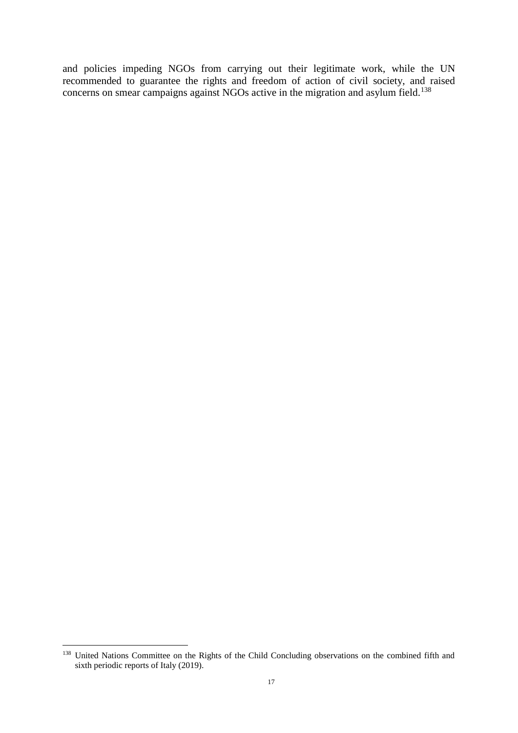and policies impeding NGOs from carrying out their legitimate work, while the UN recommended to guarantee the rights and freedom of action of civil society, and raised concerns on smear campaigns against NGOs active in the migration and asylum field.<sup>138</sup>

<sup>&</sup>lt;sup>138</sup> United Nations Committee on the Rights of the Child Concluding observations on the combined fifth and sixth periodic reports of Italy (2019).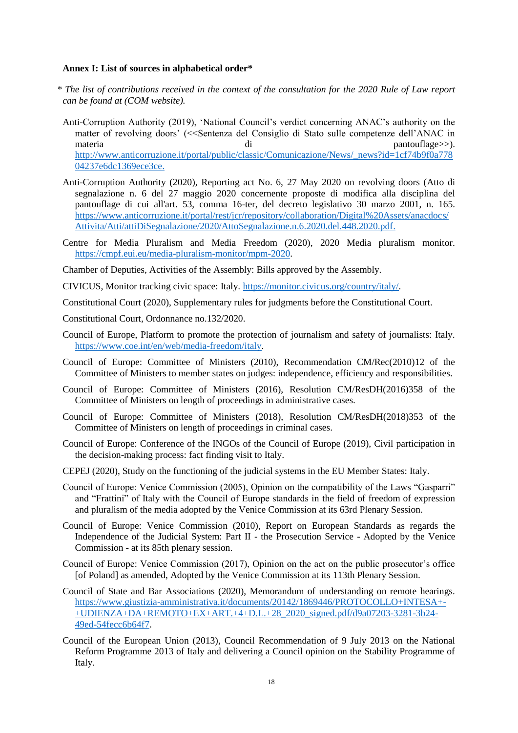#### **Annex I: List of sources in alphabetical order\***

- *\* The list of contributions received in the context of the consultation for the 2020 Rule of Law report can be found at (COM website).*
- Anti-Corruption Authority (2019), 'National Council's verdict concerning ANAC's authority on the matter of revolving doors' (<<Sentenza del Consiglio di Stato sulle competenze dell'ANAC in materia di pantouflage>>). [http://www.anticorruzione.it/portal/public/classic/Comunicazione/News/\\_news?id=1cf74b9f0a778](http://www.anticorruzione.it/portal/public/classic/Comunicazione/News/_news?id=1cf74b9f0a77804237e6dc1369ece3ce) [04237e6dc1369ece3ce.](http://www.anticorruzione.it/portal/public/classic/Comunicazione/News/_news?id=1cf74b9f0a77804237e6dc1369ece3ce)
- Anti-Corruption Authority (2020), Reporting act No. 6, 27 May 2020 on revolving doors (Atto di segnalazione n. 6 del 27 maggio 2020 concernente proposte di modifica alla disciplina del pantouflage di cui all'art. 53, comma 16-ter, del decreto legislativo 30 marzo 2001, n. 165. [https://www.anticorruzione.it/portal/rest/jcr/repository/collaboration/Digital%20Assets/anacdocs/](https://www.anticorruzione.it/portal/rest/jcr/repository/collaboration/Digital%20Assets/anacdocs/Attivita/Atti/attiDiSegnalazione/2020/AttoSegnalazione.n.6.2020.del.448.2020.pdf) [Attivita/Atti/attiDiSegnalazione/2020/AttoSegnalazione.n.6.2020.del.448.2020.pdf.](https://www.anticorruzione.it/portal/rest/jcr/repository/collaboration/Digital%20Assets/anacdocs/Attivita/Atti/attiDiSegnalazione/2020/AttoSegnalazione.n.6.2020.del.448.2020.pdf)
- Centre for Media Pluralism and Media Freedom (2020), 2020 Media pluralism monitor. [https://cmpf.eui.eu/media-pluralism-monitor/mpm-2020.](https://cmpf.eui.eu/media-pluralism-monitor/mpm-2020)

Chamber of Deputies, Activities of the Assembly: Bills approved by the Assembly.

- CIVICUS, Monitor tracking civic space: Italy. [https://monitor.civicus.org/country/italy/.](https://monitor.civicus.org/country/italy/)
- Constitutional Court (2020), Supplementary rules for judgments before the Constitutional Court.
- Constitutional Court, Ordonnance no.132/2020.
- Council of Europe, Platform to promote the protection of journalism and safety of journalists: Italy. [https://www.coe.int/en/web/media-freedom/italy.](https://www.coe.int/en/web/media-freedom/italy)
- Council of Europe: Committee of Ministers (2010), Recommendation CM/Rec(2010)12 of the Committee of Ministers to member states on judges: independence, efficiency and responsibilities.
- Council of Europe: Committee of Ministers (2016), Resolution CM/ResDH(2016)358 of the Committee of Ministers on length of proceedings in administrative cases.
- Council of Europe: Committee of Ministers (2018), Resolution CM/ResDH(2018)353 of the Committee of Ministers on length of proceedings in criminal cases.
- Council of Europe: Conference of the INGOs of the Council of Europe (2019), Civil participation in the decision-making process: fact finding visit to Italy.
- CEPEJ (2020), Study on the functioning of the judicial systems in the EU Member States: Italy.
- Council of Europe: Venice Commission (2005), Opinion on the compatibility of the Laws "Gasparri" and "Frattini" of Italy with the Council of Europe standards in the field of freedom of expression and pluralism of the media adopted by the Venice Commission at its 63rd Plenary Session.
- Council of Europe: Venice Commission (2010), Report on European Standards as regards the Independence of the Judicial System: Part II - the Prosecution Service - Adopted by the Venice Commission - at its 85th plenary session.
- Council of Europe: Venice Commission (2017), Opinion on the act on the public prosecutor's office [of Poland] as amended, Adopted by the Venice Commission at its 113th Plenary Session.
- Council of State and Bar Associations (2020), Memorandum of understanding on remote hearings. [https://www.giustizia-amministrativa.it/documents/20142/1869446/PROTOCOLLO+INTESA+-](https://www.giustizia-amministrativa.it/documents/20142/1869446/PROTOCOLLO+INTESA+-+UDIENZA+DA+REMOTO+EX+ART.+4+D.L.+28_2020_signed.pdf/d9a07203-3281-3b24-49ed-54fecc6b64f7) [+UDIENZA+DA+REMOTO+EX+ART.+4+D.L.+28\\_2020\\_signed.pdf/d9a07203-3281-3b24-](https://www.giustizia-amministrativa.it/documents/20142/1869446/PROTOCOLLO+INTESA+-+UDIENZA+DA+REMOTO+EX+ART.+4+D.L.+28_2020_signed.pdf/d9a07203-3281-3b24-49ed-54fecc6b64f7) [49ed-54fecc6b64f7.](https://www.giustizia-amministrativa.it/documents/20142/1869446/PROTOCOLLO+INTESA+-+UDIENZA+DA+REMOTO+EX+ART.+4+D.L.+28_2020_signed.pdf/d9a07203-3281-3b24-49ed-54fecc6b64f7)
- Council of the European Union (2013), Council Recommendation of 9 July 2013 on the National Reform Programme 2013 of Italy and delivering a Council opinion on the Stability Programme of Italy.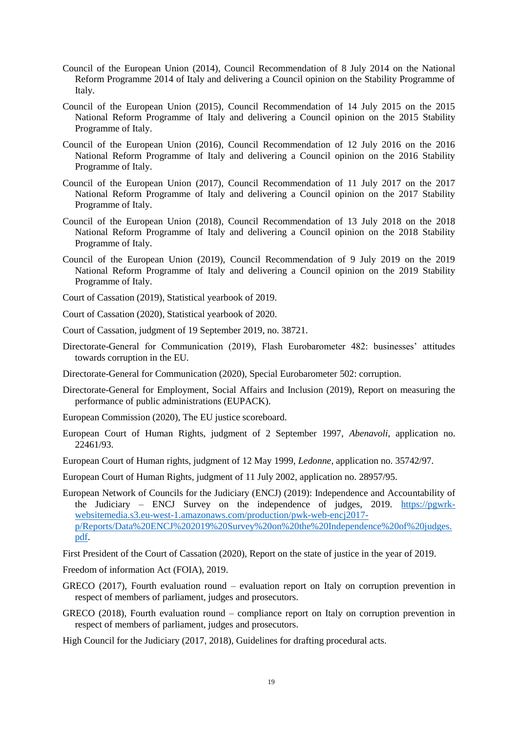- Council of the European Union (2014), Council Recommendation of 8 July 2014 on the National Reform Programme 2014 of Italy and delivering a Council opinion on the Stability Programme of Italy.
- Council of the European Union (2015), Council Recommendation of 14 July 2015 on the 2015 National Reform Programme of Italy and delivering a Council opinion on the 2015 Stability Programme of Italy.
- Council of the European Union (2016), Council Recommendation of 12 July 2016 on the 2016 National Reform Programme of Italy and delivering a Council opinion on the 2016 Stability Programme of Italy.
- Council of the European Union (2017), Council Recommendation of 11 July 2017 on the 2017 National Reform Programme of Italy and delivering a Council opinion on the 2017 Stability Programme of Italy.
- Council of the European Union (2018), Council Recommendation of 13 July 2018 on the 2018 National Reform Programme of Italy and delivering a Council opinion on the 2018 Stability Programme of Italy.
- Council of the European Union (2019), Council Recommendation of 9 July 2019 on the 2019 National Reform Programme of Italy and delivering a Council opinion on the 2019 Stability Programme of Italy.
- Court of Cassation (2019), Statistical yearbook of 2019.
- Court of Cassation (2020), Statistical yearbook of 2020.
- Court of Cassation, judgment of 19 September 2019, no. 38721.
- Directorate-General for Communication (2019), Flash Eurobarometer 482: businesses' attitudes towards corruption in the EU.
- Directorate-General for Communication (2020), Special Eurobarometer 502: corruption.
- Directorate-General for Employment, Social Affairs and Inclusion (2019), Report on measuring the performance of public administrations (EUPACK).
- European Commission (2020), The EU justice scoreboard.
- European Court of Human Rights, judgment of 2 September 1997, *Abenavoli*, application no. 22461/93.
- European Court of Human rights, judgment of 12 May 1999, *Ledonne*, application no. 35742/97.
- European Court of Human Rights, judgment of 11 July 2002, application no. 28957/95.
- European Network of Councils for the Judiciary (ENCJ) (2019): Independence and Accountability of the Judiciary – ENCJ Survey on the independence of judges, 2019. [https://pgwrk](https://pgwrk-websitemedia.s3.eu-west-1.amazonaws.com/production/pwk-web-encj2017-p/Reports/Data%20ENCJ%202019%20Survey%20on%20the%20Independence%20of%20judges.pdf)[websitemedia.s3.eu-west-1.amazonaws.com/production/pwk-web-encj2017](https://pgwrk-websitemedia.s3.eu-west-1.amazonaws.com/production/pwk-web-encj2017-p/Reports/Data%20ENCJ%202019%20Survey%20on%20the%20Independence%20of%20judges.pdf) [p/Reports/Data%20ENCJ%202019%20Survey%20on%20the%20Independence%20of%20judges.](https://pgwrk-websitemedia.s3.eu-west-1.amazonaws.com/production/pwk-web-encj2017-p/Reports/Data%20ENCJ%202019%20Survey%20on%20the%20Independence%20of%20judges.pdf) [pdf.](https://pgwrk-websitemedia.s3.eu-west-1.amazonaws.com/production/pwk-web-encj2017-p/Reports/Data%20ENCJ%202019%20Survey%20on%20the%20Independence%20of%20judges.pdf)

First President of the Court of Cassation (2020), Report on the state of justice in the year of 2019.

Freedom of information Act (FOIA), 2019.

- GRECO (2017), Fourth evaluation round evaluation report on Italy on corruption prevention in respect of members of parliament, judges and prosecutors.
- GRECO (2018), Fourth evaluation round compliance report on Italy on corruption prevention in respect of members of parliament, judges and prosecutors.
- High Council for the Judiciary (2017, 2018), Guidelines for drafting procedural acts.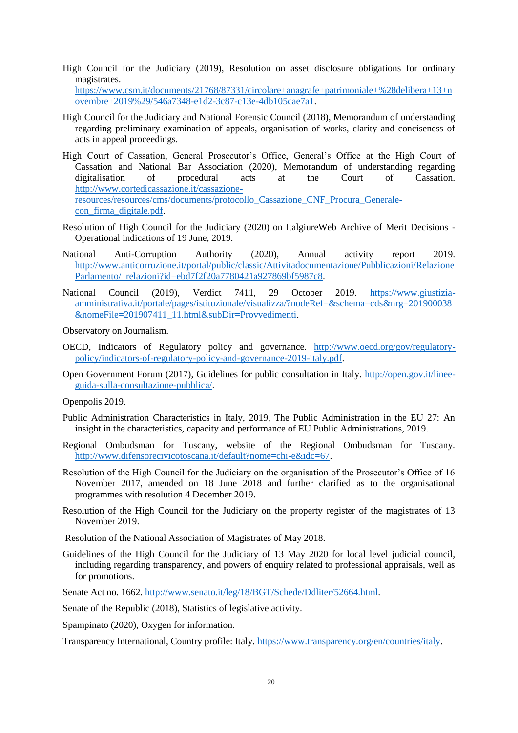High Council for the Judiciary (2019), Resolution on asset disclosure obligations for ordinary magistrates.

[https://www.csm.it/documents/21768/87331/circolare+anagrafe+patrimoniale+%28delibera+13+n](https://www.csm.it/documents/21768/87331/circolare+anagrafe+patrimoniale+%28delibera+13+novembre+2019%29/546a7348-e1d2-3c87-c13e-4db105cae7a1) [ovembre+2019%29/546a7348-e1d2-3c87-c13e-4db105cae7a1.](https://www.csm.it/documents/21768/87331/circolare+anagrafe+patrimoniale+%28delibera+13+novembre+2019%29/546a7348-e1d2-3c87-c13e-4db105cae7a1)

- High Council for the Judiciary and National Forensic Council (2018), Memorandum of understanding regarding preliminary examination of appeals, organisation of works, clarity and conciseness of acts in appeal proceedings.
- High Court of Cassation, General Prosecutor's Office, General's Office at the High Court of Cassation and National Bar Association (2020), Memorandum of understanding regarding digitalisation of procedural acts at the Court of Cassation. [http://www.cortedicassazione.it/cassazione](http://www.cortedicassazione.it/cassazione-resources/resources/cms/documents/protocollo_Cassazione_CNF_Procura_Generale-con_firma_digitale.pdf)[resources/resources/cms/documents/protocollo\\_Cassazione\\_CNF\\_Procura\\_Generale](http://www.cortedicassazione.it/cassazione-resources/resources/cms/documents/protocollo_Cassazione_CNF_Procura_Generale-con_firma_digitale.pdf)[con\\_firma\\_digitale.pdf.](http://www.cortedicassazione.it/cassazione-resources/resources/cms/documents/protocollo_Cassazione_CNF_Procura_Generale-con_firma_digitale.pdf)
- Resolution of High Council for the Judiciary (2020) on ItalgiureWeb Archive of Merit Decisions Operational indications of 19 June, 2019.
- National Anti-Corruption Authority (2020), Annual activity report 2019. [http://www.anticorruzione.it/portal/public/classic/Attivitadocumentazione/Pubblicazioni/Relazione](http://www.anticorruzione.it/portal/public/classic/Attivitadocumentazione/Pubblicazioni/RelazioneParlamento/_relazioni?id=ebd7f2f20a7780421a927869bf5987c8) [Parlamento/\\_relazioni?id=ebd7f2f20a7780421a927869bf5987c8.](http://www.anticorruzione.it/portal/public/classic/Attivitadocumentazione/Pubblicazioni/RelazioneParlamento/_relazioni?id=ebd7f2f20a7780421a927869bf5987c8)
- National Council (2019), Verdict 7411, 29 October 2019. [https://www.giustizia](https://www.giustizia-amministrativa.it/portale/pages/istituzionale/visualizza/?nodeRef=&schema=cds&nrg=201900038&nomeFile=201907411_11.html&subDir=Provvedimenti)[amministrativa.it/portale/pages/istituzionale/visualizza/?nodeRef=&schema=cds&nrg=201900038](https://www.giustizia-amministrativa.it/portale/pages/istituzionale/visualizza/?nodeRef=&schema=cds&nrg=201900038&nomeFile=201907411_11.html&subDir=Provvedimenti) [&nomeFile=201907411\\_11.html&subDir=Provvedimenti.](https://www.giustizia-amministrativa.it/portale/pages/istituzionale/visualizza/?nodeRef=&schema=cds&nrg=201900038&nomeFile=201907411_11.html&subDir=Provvedimenti)

Observatory on Journalism.

- OECD, Indicators of Regulatory policy and governance. [http://www.oecd.org/gov/regulatory](http://www.oecd.org/gov/regulatory-policy/indicators-of-regulatory-policy-and-governance-2019-italy.pdf)[policy/indicators-of-regulatory-policy-and-governance-2019-italy.pdf.](http://www.oecd.org/gov/regulatory-policy/indicators-of-regulatory-policy-and-governance-2019-italy.pdf)
- Open Government Forum (2017), Guidelines for public consultation in Italy. [http://open.gov.it/linee](http://open.gov.it/linee-guida-sulla-consultazione-pubblica/)[guida-sulla-consultazione-pubblica/.](http://open.gov.it/linee-guida-sulla-consultazione-pubblica/)

Openpolis 2019.

- Public Administration Characteristics in Italy, 2019, The Public Administration in the EU 27: An insight in the characteristics, capacity and performance of EU Public Administrations, 2019.
- Regional Ombudsman for Tuscany, website of the Regional Ombudsman for Tuscany. [http://www.difensorecivicotoscana.it/default?nome=chi-e&idc=67.](http://www.difensorecivicotoscana.it/default?nome=chi-e&idc=67)
- Resolution of the High Council for the Judiciary on the organisation of the Prosecutor's Office of 16 November 2017, amended on 18 June 2018 and further clarified as to the organisational programmes with resolution 4 December 2019.
- Resolution of the High Council for the Judiciary on the property register of the magistrates of 13 November 2019.

Resolution of the National Association of Magistrates of May 2018.

Guidelines of the High Council for the Judiciary of 13 May 2020 for local level judicial council, including regarding transparency, and powers of enquiry related to professional appraisals, well as for promotions.

Senate Act no. 1662[. http://www.senato.it/leg/18/BGT/Schede/Ddliter/52664.html.](http://www.senato.it/leg/18/BGT/Schede/Ddliter/52664.html)

Senate of the Republic (2018), Statistics of legislative activity.

Spampinato (2020), Oxygen for information.

Transparency International, Country profile: Italy. [https://www.transparency.org/en/countries/italy.](https://www.transparency.org/en/countries/italy)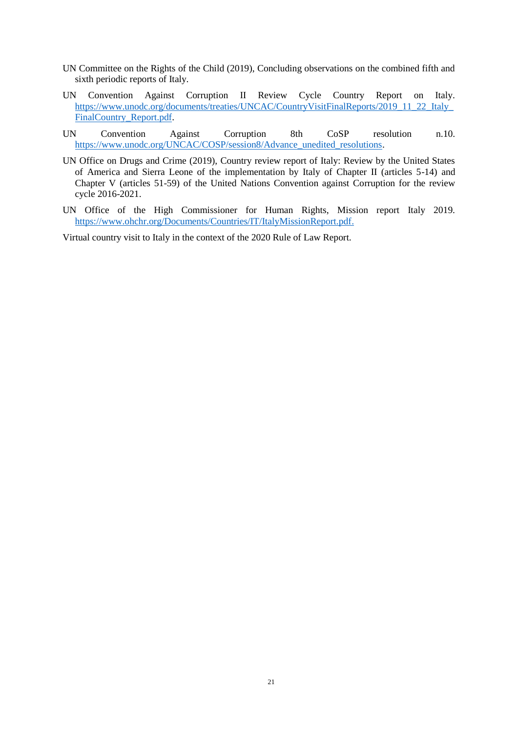- UN Committee on the Rights of the Child (2019), Concluding observations on the combined fifth and sixth periodic reports of Italy.
- UN Convention Against Corruption II Review Cycle Country Report on Italy. [https://www.unodc.org/documents/treaties/UNCAC/CountryVisitFinalReports/2019\\_11\\_22\\_Italy\\_](https://www.unodc.org/documents/treaties/UNCAC/CountryVisitFinalReports/2019_11_22_Italy_FinalCountry_Report.pdf) [FinalCountry\\_Report.pdf.](https://www.unodc.org/documents/treaties/UNCAC/CountryVisitFinalReports/2019_11_22_Italy_FinalCountry_Report.pdf)
- UN Convention Against Corruption 8th CoSP resolution n.10. [https://www.unodc.org/UNCAC/COSP/session8/Advance\\_unedited\\_resolutions.](https://www.unodc.org/UNCAC/COSP/session8/Advance_unedited_resolutions)
- UN Office on Drugs and Crime (2019), Country review report of Italy: Review by the United States of America and Sierra Leone of the implementation by Italy of Chapter II (articles 5-14) and Chapter V (articles 51-59) of the United Nations Convention against Corruption for the review cycle 2016-2021.
- UN Office of the High Commissioner for Human Rights, Mission report Italy 2019. [https://www.ohchr.org/Documents/Countries/IT/ItalyMissionReport.pdf.](https://www.ohchr.org/Documents/Countries/IT/ItalyMissionReport.pdf)

Virtual country visit to Italy in the context of the 2020 Rule of Law Report.